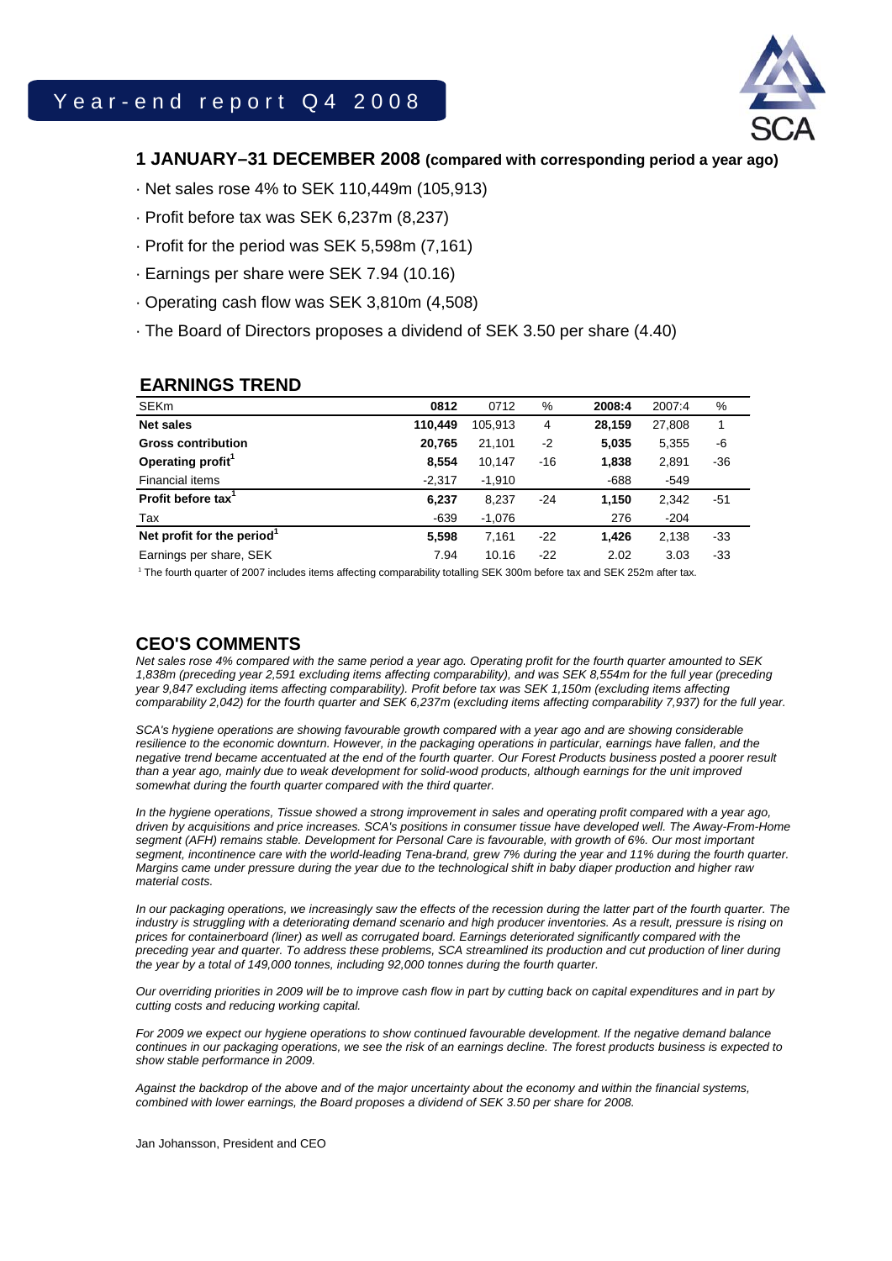

# **1 JANUARY–31 DECEMBER 2008 (compared with corresponding period a year ago)**

· Net sales rose 4% to SEK 110,449m (105,913)

- · Profit before tax was SEK 6,237m (8,237)
- · Profit for the period was SEK 5,598m (7,161)
- · Earnings per share were SEK 7.94 (10.16)
- · Operating cash flow was SEK 3,810m (4,508)
- · The Board of Directors proposes a dividend of SEK 3.50 per share (4.40)

## **EARNINGS TREND**

| <b>SEKm</b>                            | 0812     | 0712     | %     | 2008:4 | 2007:4 | %     |
|----------------------------------------|----------|----------|-------|--------|--------|-------|
| <b>Net sales</b>                       | 110.449  | 105,913  | 4     | 28,159 | 27,808 |       |
| <b>Gross contribution</b>              | 20,765   | 21,101   | $-2$  | 5,035  | 5,355  | -6    |
| Operating profit <sup>1</sup>          | 8,554    | 10.147   | $-16$ | 1,838  | 2,891  | $-36$ |
| Financial items                        | $-2,317$ | $-1,910$ |       | $-688$ | $-549$ |       |
| Profit before tax <sup>1</sup>         | 6,237    | 8,237    | $-24$ | 1.150  | 2,342  | -51   |
| Tax                                    | $-639$   | $-1.076$ |       | 276    | $-204$ |       |
| Net profit for the period <sup>1</sup> | 5,598    | 7.161    | $-22$ | 1.426  | 2,138  | $-33$ |
| Earnings per share, SEK                | 7.94     | 10.16    | $-22$ | 2.02   | 3.03   | -33   |
|                                        |          |          |       |        |        |       |

1 The fourth quarter of 2007 includes items affecting comparability totalling SEK 300m before tax and SEK 252m after tax.

# **CEO'S COMMENTS**

*Net sales rose 4% compared with the same period a year ago. Operating profit for the fourth quarter amounted to SEK 1,838m (preceding year 2,591 excluding items affecting comparability), and was SEK 8,554m for the full year (preceding year 9,847 excluding items affecting comparability). Profit before tax was SEK 1,150m (excluding items affecting comparability 2,042) for the fourth quarter and SEK 6,237m (excluding items affecting comparability 7,937) for the full year.* 

*SCA's hygiene operations are showing favourable growth compared with a year ago and are showing considerable*  resilience to the economic downturn. However, in the packaging operations in particular, earnings have fallen, and the *negative trend became accentuated at the end of the fourth quarter. Our Forest Products business posted a poorer result than a year ago, mainly due to weak development for solid-wood products, although earnings for the unit improved somewhat during the fourth quarter compared with the third quarter.* 

*In the hygiene operations, Tissue showed a strong improvement in sales and operating profit compared with a year ago, driven by acquisitions and price increases. SCA's positions in consumer tissue have developed well. The Away-From-Home*  segment (AFH) remains stable. Development for Personal Care is favourable, with growth of 6%. Our most important *segment, incontinence care with the world-leading Tena-brand, grew 7% during the year and 11% during the fourth quarter. Margins came under pressure during the year due to the technological shift in baby diaper production and higher raw material costs.* 

*In our packaging operations, we increasingly saw the effects of the recession during the latter part of the fourth quarter. The* industry is struggling with a deteriorating demand scenario and high producer inventories. As a result, pressure is rising on *prices for containerboard (liner) as well as corrugated board. Earnings deteriorated significantly compared with the preceding year and quarter. To address these problems, SCA streamlined its production and cut production of liner during the year by a total of 149,000 tonnes, including 92,000 tonnes during the fourth quarter.* 

*Our overriding priorities in 2009 will be to improve cash flow in part by cutting back on capital expenditures and in part by cutting costs and reducing working capital.* 

*For 2009 we expect our hygiene operations to show continued favourable development. If the negative demand balance continues in our packaging operations, we see the risk of an earnings decline. The forest products business is expected to show stable performance in 2009.* 

*Against the backdrop of the above and of the major uncertainty about the economy and within the financial systems, combined with lower earnings, the Board proposes a dividend of SEK 3.50 per share for 2008.* 

Jan Johansson, President and CEO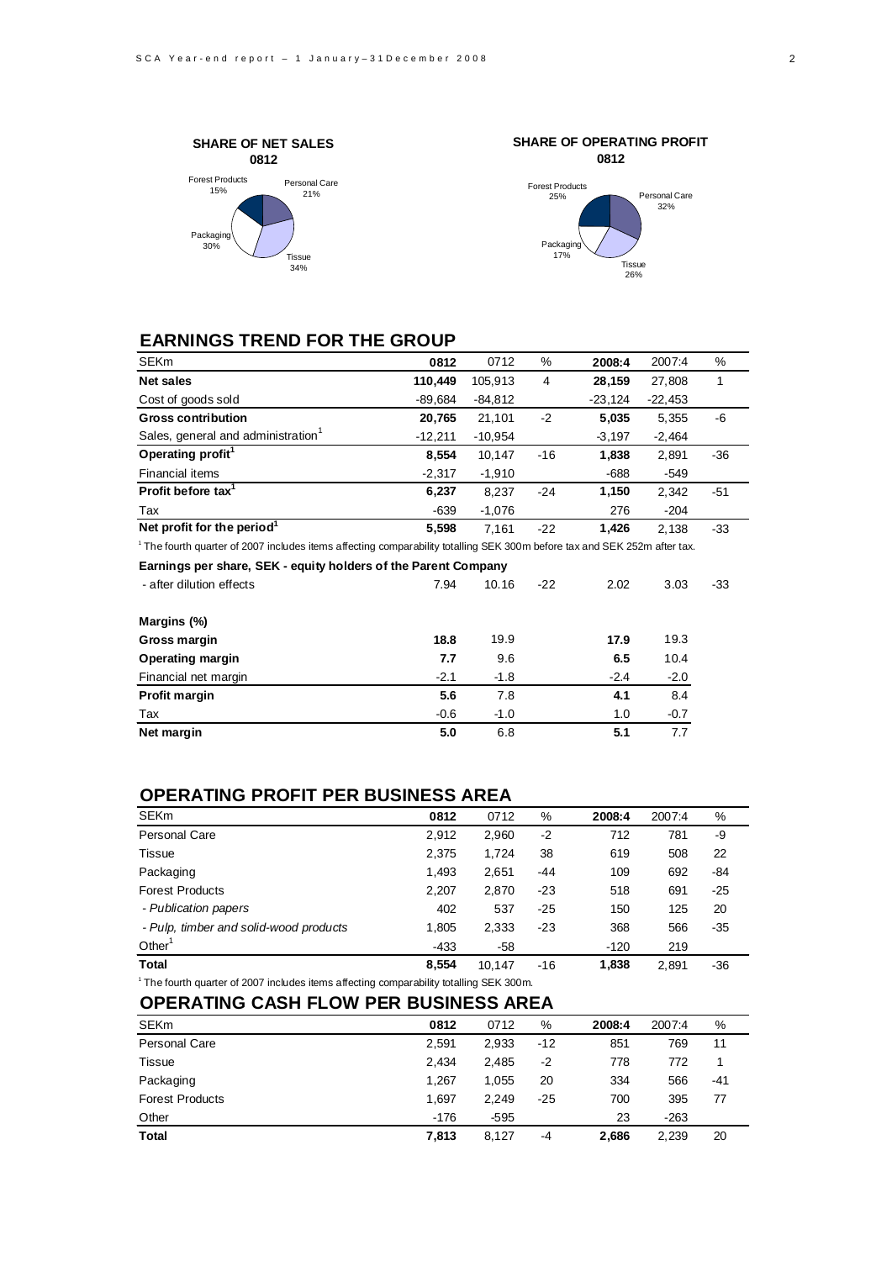



# **EARNINGS TREND FOR THE GROUP**

| <b>SEKm</b>                                                                                                                 | 0812      | 0712      | %     | 2008:4    | 2007:4    | %     |
|-----------------------------------------------------------------------------------------------------------------------------|-----------|-----------|-------|-----------|-----------|-------|
| <b>Net sales</b>                                                                                                            | 110,449   | 105,913   | 4     | 28,159    | 27,808    | 1     |
| Cost of goods sold                                                                                                          | $-89,684$ | $-84,812$ |       | $-23,124$ | $-22,453$ |       |
| <b>Gross contribution</b>                                                                                                   | 20,765    | 21,101    | $-2$  | 5,035     | 5,355     | -6    |
| Sales, general and administration <sup>1</sup>                                                                              | $-12,211$ | $-10,954$ |       | $-3,197$  | $-2,464$  |       |
| Operating profit <sup>1</sup>                                                                                               | 8,554     | 10,147    | $-16$ | 1,838     | 2,891     | $-36$ |
| Financial items                                                                                                             | $-2,317$  | $-1,910$  |       | $-688$    | $-549$    |       |
| Profit before tax <sup>1</sup>                                                                                              | 6,237     | 8,237     | $-24$ | 1,150     | 2,342     | $-51$ |
| Tax                                                                                                                         | $-639$    | $-1,076$  |       | 276       | $-204$    |       |
| Net profit for the period <sup>1</sup>                                                                                      | 5,598     | 7.161     | $-22$ | 1,426     | 2,138     | $-33$ |
| $1$ The fourth quarter of 2007 includes items affecting comparability totalling SEK 300m before tax and SEK 252m after tax. |           |           |       |           |           |       |
| Earnings per share, SEK - equity holders of the Parent Company                                                              |           |           |       |           |           |       |
| - after dilution effects                                                                                                    | 7.94      | 10.16     | $-22$ | 2.02      | 3.03      | $-33$ |
| Margins (%)                                                                                                                 |           |           |       |           |           |       |
| Gross margin                                                                                                                | 18.8      | 19.9      |       | 17.9      | 19.3      |       |
| <b>Operating margin</b>                                                                                                     | 7.7       | 9.6       |       | 6.5       | 10.4      |       |
| Financial net margin                                                                                                        | $-2.1$    | $-1.8$    |       | $-2.4$    | $-2.0$    |       |
| Profit margin                                                                                                               | 5.6       | 7.8       |       | 4.1       | 8.4       |       |
| Tax                                                                                                                         | $-0.6$    | $-1.0$    |       | 1.0       | $-0.7$    |       |
| Net margin                                                                                                                  | 5.0       | 6.8       |       | 5.1       | 7.7       |       |
|                                                                                                                             |           |           |       |           |           |       |

### **OPERATING PROFIT PER BUSINESS AREA**

| <b>SEKm</b>                            | 0812   | 0712   | %     | 2008:4 | 2007:4 | %     |
|----------------------------------------|--------|--------|-------|--------|--------|-------|
| Personal Care                          | 2.912  | 2,960  | $-2$  | 712    | 781    | -9    |
| <b>Tissue</b>                          | 2.375  | 1.724  | 38    | 619    | 508    | 22    |
| Packaging                              | 1,493  | 2,651  | $-44$ | 109    | 692    | -84   |
| <b>Forest Products</b>                 | 2,207  | 2,870  | $-23$ | 518    | 691    | $-25$ |
| - Publication papers                   | 402    | 537    | $-25$ | 150    | 125    | 20    |
| - Pulp, timber and solid-wood products | 1.805  | 2,333  | $-23$ | 368    | 566    | $-35$ |
| Other <sup>1</sup>                     | $-433$ | -58    |       | $-120$ | 219    |       |
| <b>Total</b>                           | 8,554  | 10.147 | $-16$ | 1,838  | 2,891  | -36   |

<sup>1</sup> The fourth quarter of 2007 includes items affecting comparability totalling SEK 300m.

# **OPERATING CASH FLOW PER BUSINESS AREA**

| <b>SEKm</b>            | 0812   | 0712   | %     | 2008:4 | 2007:4 | %   |
|------------------------|--------|--------|-------|--------|--------|-----|
| Personal Care          | 2,591  | 2,933  | $-12$ | 851    | 769    | 11  |
| Tissue                 | 2.434  | 2.485  | -2    | 778    | 772    |     |
| Packaging              | 1.267  | 1,055  | 20    | 334    | 566    | -41 |
| <b>Forest Products</b> | 1.697  | 2.249  | $-25$ | 700    | 395    | 77  |
| Other                  | $-176$ | $-595$ |       | 23     | $-263$ |     |
| <b>Total</b>           | 7,813  | 8.127  | -4    | 2,686  | 2.239  | 20  |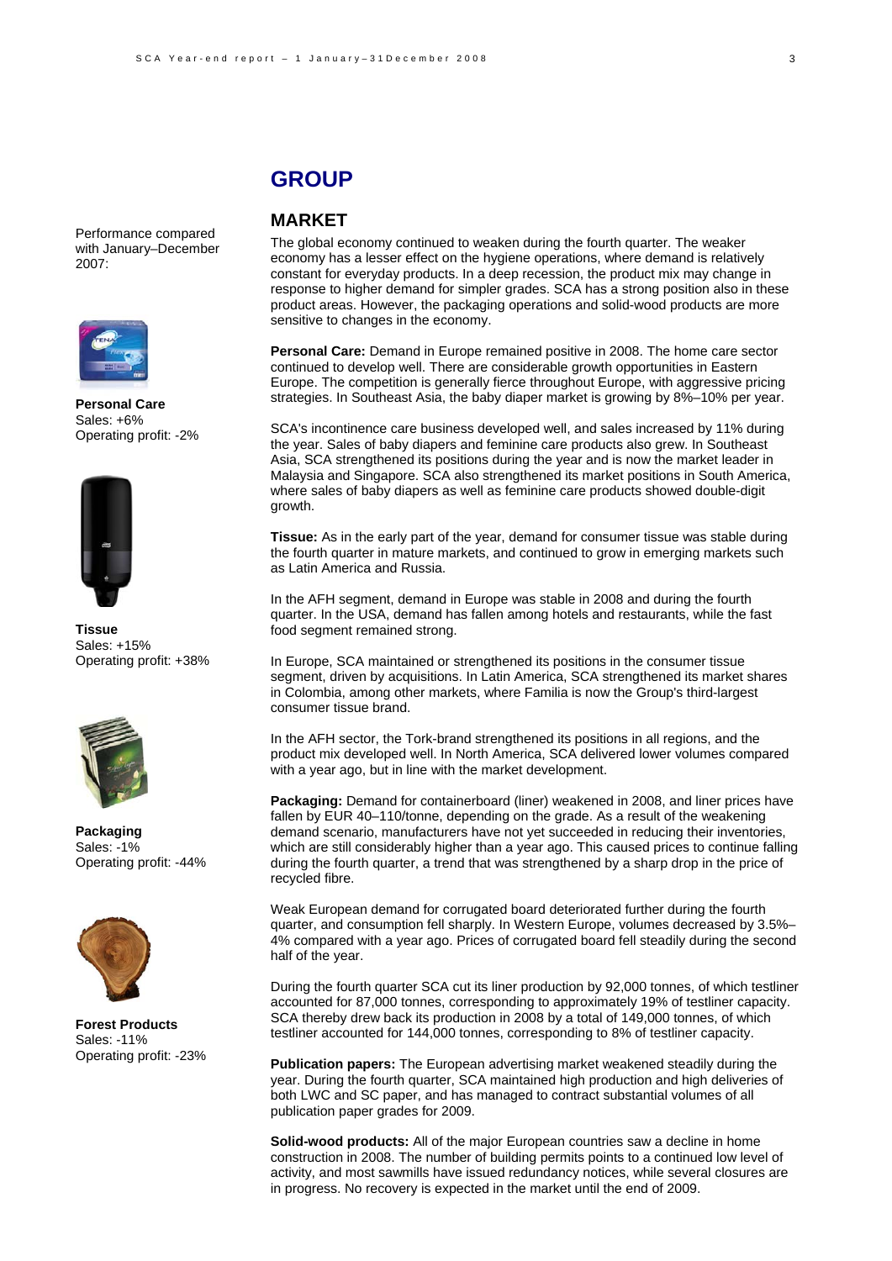#### Performance compared with January–December 2007:



**Personal Care**  Sales: +6% Operating profit: -2%



**Tissue**  Sales: +15% Operating profit: +38%



**Packaging** Sales: -1% Operating profit: -44%



**Forest Products** Sales: -11% Operating profit: -23%

# **GROUP**

# **MARKET**

The global economy continued to weaken during the fourth quarter. The weaker economy has a lesser effect on the hygiene operations, where demand is relatively constant for everyday products. In a deep recession, the product mix may change in response to higher demand for simpler grades. SCA has a strong position also in these product areas. However, the packaging operations and solid-wood products are more sensitive to changes in the economy.

**Personal Care:** Demand in Europe remained positive in 2008. The home care sector continued to develop well. There are considerable growth opportunities in Eastern Europe. The competition is generally fierce throughout Europe, with aggressive pricing strategies. In Southeast Asia, the baby diaper market is growing by 8%–10% per year.

SCA's incontinence care business developed well, and sales increased by 11% during the year. Sales of baby diapers and feminine care products also grew. In Southeast Asia, SCA strengthened its positions during the year and is now the market leader in Malaysia and Singapore. SCA also strengthened its market positions in South America, where sales of baby diapers as well as feminine care products showed double-digit growth.

**Tissue:** As in the early part of the year, demand for consumer tissue was stable during the fourth quarter in mature markets, and continued to grow in emerging markets such as Latin America and Russia.

In the AFH segment, demand in Europe was stable in 2008 and during the fourth quarter. In the USA, demand has fallen among hotels and restaurants, while the fast food segment remained strong.

In Europe, SCA maintained or strengthened its positions in the consumer tissue segment, driven by acquisitions. In Latin America, SCA strengthened its market shares in Colombia, among other markets, where Familia is now the Group's third-largest consumer tissue brand.

In the AFH sector, the Tork-brand strengthened its positions in all regions, and the product mix developed well. In North America, SCA delivered lower volumes compared with a year ago, but in line with the market development.

**Packaging:** Demand for containerboard (liner) weakened in 2008, and liner prices have fallen by EUR 40–110/tonne, depending on the grade. As a result of the weakening demand scenario, manufacturers have not yet succeeded in reducing their inventories, which are still considerably higher than a year ago. This caused prices to continue falling during the fourth quarter, a trend that was strengthened by a sharp drop in the price of recycled fibre.

Weak European demand for corrugated board deteriorated further during the fourth quarter, and consumption fell sharply. In Western Europe, volumes decreased by 3.5%– 4% compared with a year ago. Prices of corrugated board fell steadily during the second half of the year.

During the fourth quarter SCA cut its liner production by 92,000 tonnes, of which testliner accounted for 87,000 tonnes, corresponding to approximately 19% of testliner capacity. SCA thereby drew back its production in 2008 by a total of 149,000 tonnes, of which testliner accounted for 144,000 tonnes, corresponding to 8% of testliner capacity.

**Publication papers:** The European advertising market weakened steadily during the year. During the fourth quarter, SCA maintained high production and high deliveries of both LWC and SC paper, and has managed to contract substantial volumes of all publication paper grades for 2009.

**Solid-wood products:** All of the major European countries saw a decline in home construction in 2008. The number of building permits points to a continued low level of activity, and most sawmills have issued redundancy notices, while several closures are in progress. No recovery is expected in the market until the end of 2009.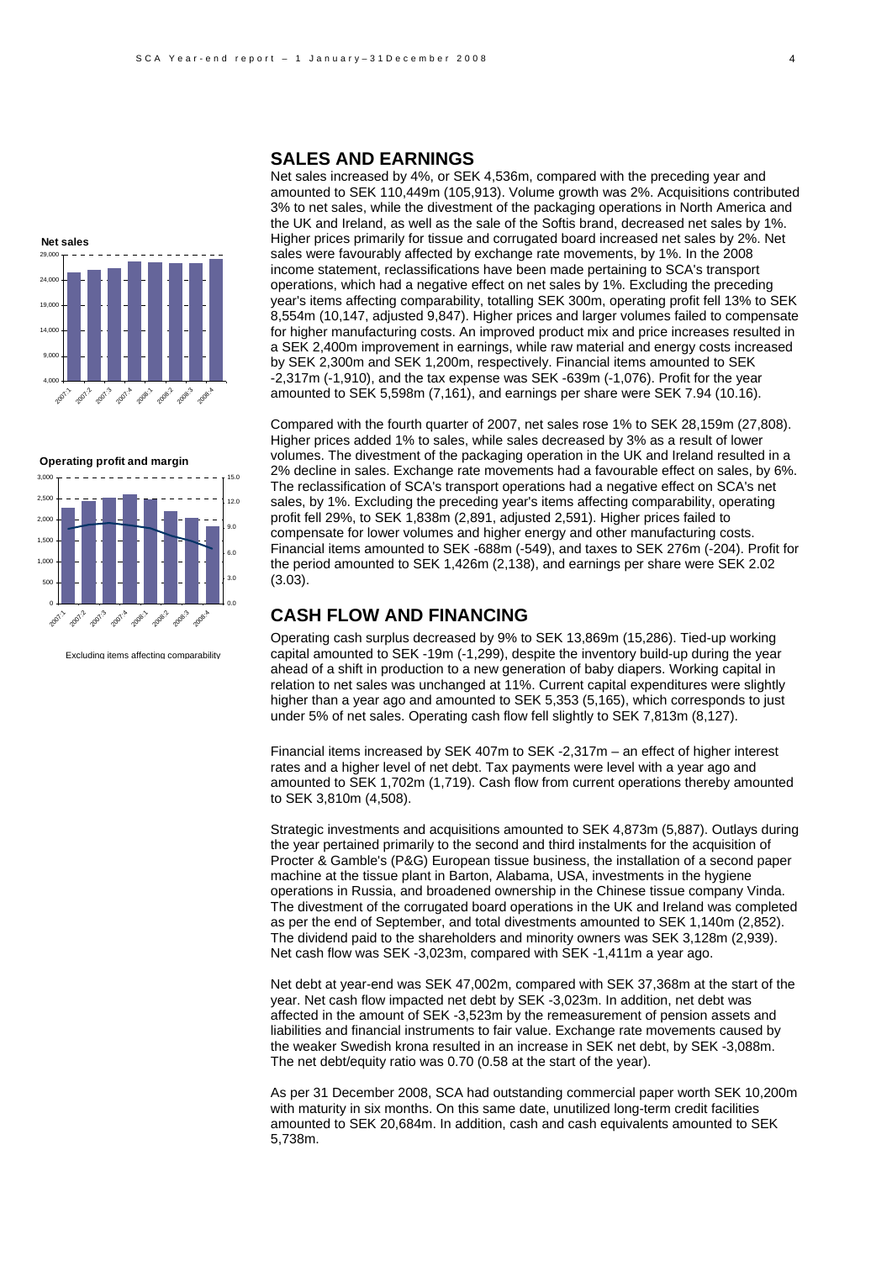





Excluding items affecting comparability

### **SALES AND EARNINGS**

Net sales increased by 4%, or SEK 4,536m, compared with the preceding year and amounted to SEK 110,449m (105,913). Volume growth was 2%. Acquisitions contributed 3% to net sales, while the divestment of the packaging operations in North America and the UK and Ireland, as well as the sale of the Softis brand, decreased net sales by 1%. Higher prices primarily for tissue and corrugated board increased net sales by 2%. Net sales were favourably affected by exchange rate movements, by 1%. In the 2008 income statement, reclassifications have been made pertaining to SCA's transport operations, which had a negative effect on net sales by 1%. Excluding the preceding year's items affecting comparability, totalling SEK 300m, operating profit fell 13% to SEK 8,554m (10,147, adjusted 9,847). Higher prices and larger volumes failed to compensate for higher manufacturing costs. An improved product mix and price increases resulted in a SEK 2,400m improvement in earnings, while raw material and energy costs increased by SEK 2,300m and SEK 1,200m, respectively. Financial items amounted to SEK -2,317m (-1,910), and the tax expense was SEK -639m (-1,076). Profit for the year amounted to SEK 5,598m (7,161), and earnings per share were SEK 7.94 (10.16).

Compared with the fourth quarter of 2007, net sales rose 1% to SEK 28,159m (27,808). Higher prices added 1% to sales, while sales decreased by 3% as a result of lower volumes. The divestment of the packaging operation in the UK and Ireland resulted in a 2% decline in sales. Exchange rate movements had a favourable effect on sales, by 6%. The reclassification of SCA's transport operations had a negative effect on SCA's net sales, by 1%. Excluding the preceding year's items affecting comparability, operating profit fell 29%, to SEK 1,838m (2,891, adjusted 2,591). Higher prices failed to compensate for lower volumes and higher energy and other manufacturing costs. Financial items amounted to SEK -688m (-549), and taxes to SEK 276m (-204). Profit for the period amounted to SEK 1,426m (2,138), and earnings per share were SEK 2.02 (3.03).

## **CASH FLOW AND FINANCING**

Operating cash surplus decreased by 9% to SEK 13,869m (15,286). Tied-up working capital amounted to SEK -19m (-1,299), despite the inventory build-up during the year ahead of a shift in production to a new generation of baby diapers. Working capital in relation to net sales was unchanged at 11%. Current capital expenditures were slightly higher than a year ago and amounted to SEK 5,353 (5,165), which corresponds to just under 5% of net sales. Operating cash flow fell slightly to SEK 7,813m (8,127).

Financial items increased by SEK 407m to SEK -2,317m – an effect of higher interest rates and a higher level of net debt. Tax payments were level with a year ago and amounted to SEK 1,702m (1,719). Cash flow from current operations thereby amounted to SEK 3,810m (4,508).

Strategic investments and acquisitions amounted to SEK 4,873m (5,887). Outlays during the year pertained primarily to the second and third instalments for the acquisition of Procter & Gamble's (P&G) European tissue business, the installation of a second paper machine at the tissue plant in Barton, Alabama, USA, investments in the hygiene operations in Russia, and broadened ownership in the Chinese tissue company Vinda. The divestment of the corrugated board operations in the UK and Ireland was completed as per the end of September, and total divestments amounted to SEK 1,140m (2,852). The dividend paid to the shareholders and minority owners was SEK 3,128m (2,939). Net cash flow was SEK -3,023m, compared with SEK -1,411m a year ago.

Net debt at year-end was SEK 47,002m, compared with SEK 37,368m at the start of the year. Net cash flow impacted net debt by SEK -3,023m. In addition, net debt was affected in the amount of SEK -3,523m by the remeasurement of pension assets and liabilities and financial instruments to fair value. Exchange rate movements caused by the weaker Swedish krona resulted in an increase in SEK net debt, by SEK -3,088m. The net debt/equity ratio was 0.70 (0.58 at the start of the year).

As per 31 December 2008, SCA had outstanding commercial paper worth SEK 10,200m with maturity in six months. On this same date, unutilized long-term credit facilities amounted to SEK 20,684m. In addition, cash and cash equivalents amounted to SEK 5,738m.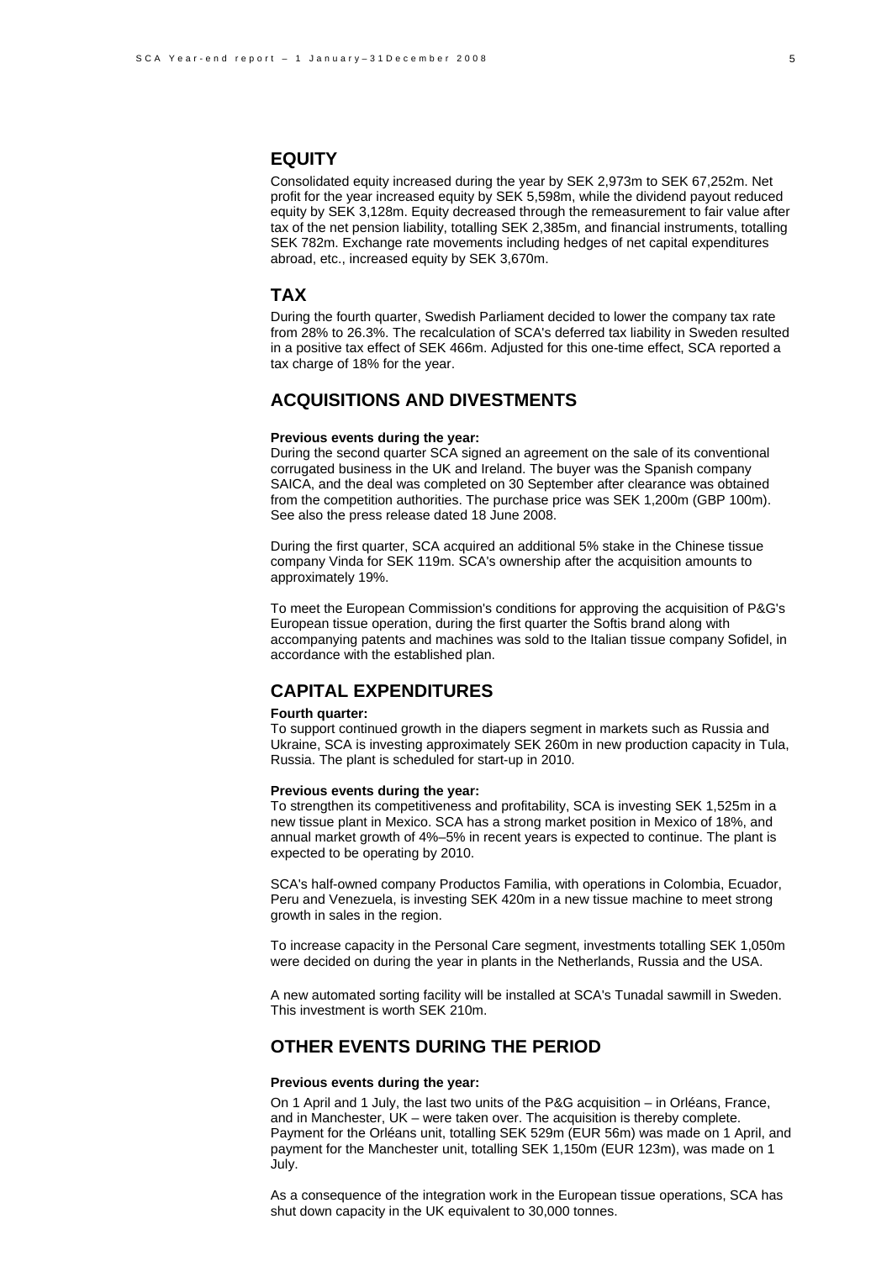### **EQUITY**

Consolidated equity increased during the year by SEK 2,973m to SEK 67,252m. Net profit for the year increased equity by SEK 5,598m, while the dividend payout reduced equity by SEK 3,128m. Equity decreased through the remeasurement to fair value after tax of the net pension liability, totalling SEK 2,385m, and financial instruments, totalling SEK 782m. Exchange rate movements including hedges of net capital expenditures abroad, etc., increased equity by SEK 3,670m.

### **TAX**

During the fourth quarter, Swedish Parliament decided to lower the company tax rate from 28% to 26.3%. The recalculation of SCA's deferred tax liability in Sweden resulted in a positive tax effect of SEK 466m. Adjusted for this one-time effect, SCA reported a tax charge of 18% for the year.

## **ACQUISITIONS AND DIVESTMENTS**

#### **Previous events during the year:**

During the second quarter SCA signed an agreement on the sale of its conventional corrugated business in the UK and Ireland. The buyer was the Spanish company SAICA, and the deal was completed on 30 September after clearance was obtained from the competition authorities. The purchase price was SEK 1,200m (GBP 100m). See also the press release dated 18 June 2008.

During the first quarter, SCA acquired an additional 5% stake in the Chinese tissue company Vinda for SEK 119m. SCA's ownership after the acquisition amounts to approximately 19%.

To meet the European Commission's conditions for approving the acquisition of P&G's European tissue operation, during the first quarter the Softis brand along with accompanying patents and machines was sold to the Italian tissue company Sofidel, in accordance with the established plan.

### **CAPITAL EXPENDITURES**

#### **Fourth quarter:**

To support continued growth in the diapers segment in markets such as Russia and Ukraine, SCA is investing approximately SEK 260m in new production capacity in Tula, Russia. The plant is scheduled for start-up in 2010.

#### **Previous events during the year:**

To strengthen its competitiveness and profitability, SCA is investing SEK 1,525m in a new tissue plant in Mexico. SCA has a strong market position in Mexico of 18%, and annual market growth of 4%–5% in recent years is expected to continue. The plant is expected to be operating by 2010.

SCA's half-owned company Productos Familia, with operations in Colombia, Ecuador, Peru and Venezuela, is investing SEK 420m in a new tissue machine to meet strong growth in sales in the region.

To increase capacity in the Personal Care segment, investments totalling SEK 1,050m were decided on during the year in plants in the Netherlands, Russia and the USA.

A new automated sorting facility will be installed at SCA's Tunadal sawmill in Sweden. This investment is worth SEK 210m.

# **OTHER EVENTS DURING THE PERIOD**

#### **Previous events during the year:**

On 1 April and 1 July, the last two units of the P&G acquisition – in Orléans, France, and in Manchester, UK – were taken over. The acquisition is thereby complete. Payment for the Orléans unit, totalling SEK 529m (EUR 56m) was made on 1 April, and payment for the Manchester unit, totalling SEK 1,150m (EUR 123m), was made on 1 July.

As a consequence of the integration work in the European tissue operations, SCA has shut down capacity in the UK equivalent to 30,000 tonnes.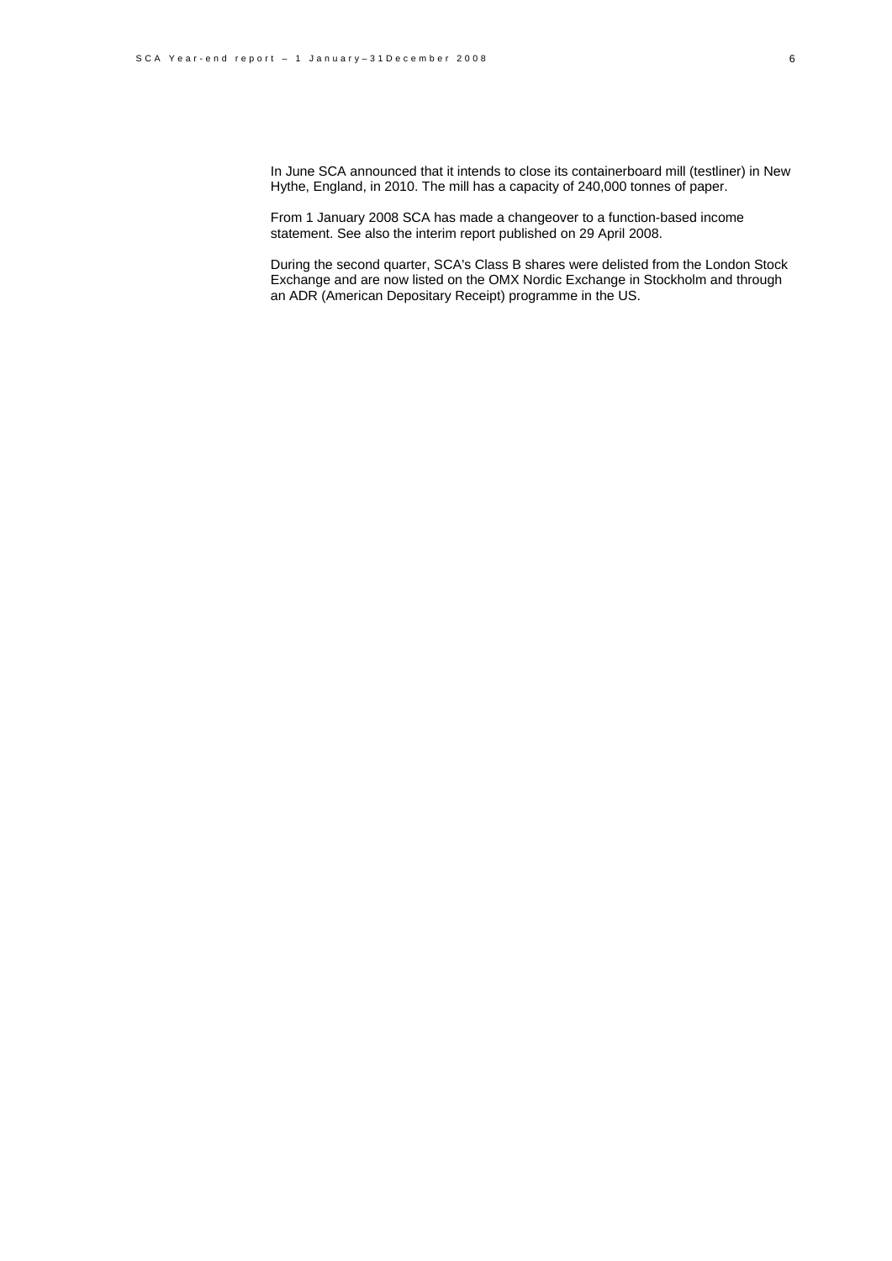In June SCA announced that it intends to close its containerboard mill (testliner) in New Hythe, England, in 2010. The mill has a capacity of 240,000 tonnes of paper.

From 1 January 2008 SCA has made a changeover to a function-based income statement. See also the interim report published on 29 April 2008.

During the second quarter, SCA's Class B shares were delisted from the London Stock Exchange and are now listed on the OMX Nordic Exchange in Stockholm and through an ADR (American Depositary Receipt) programme in the US.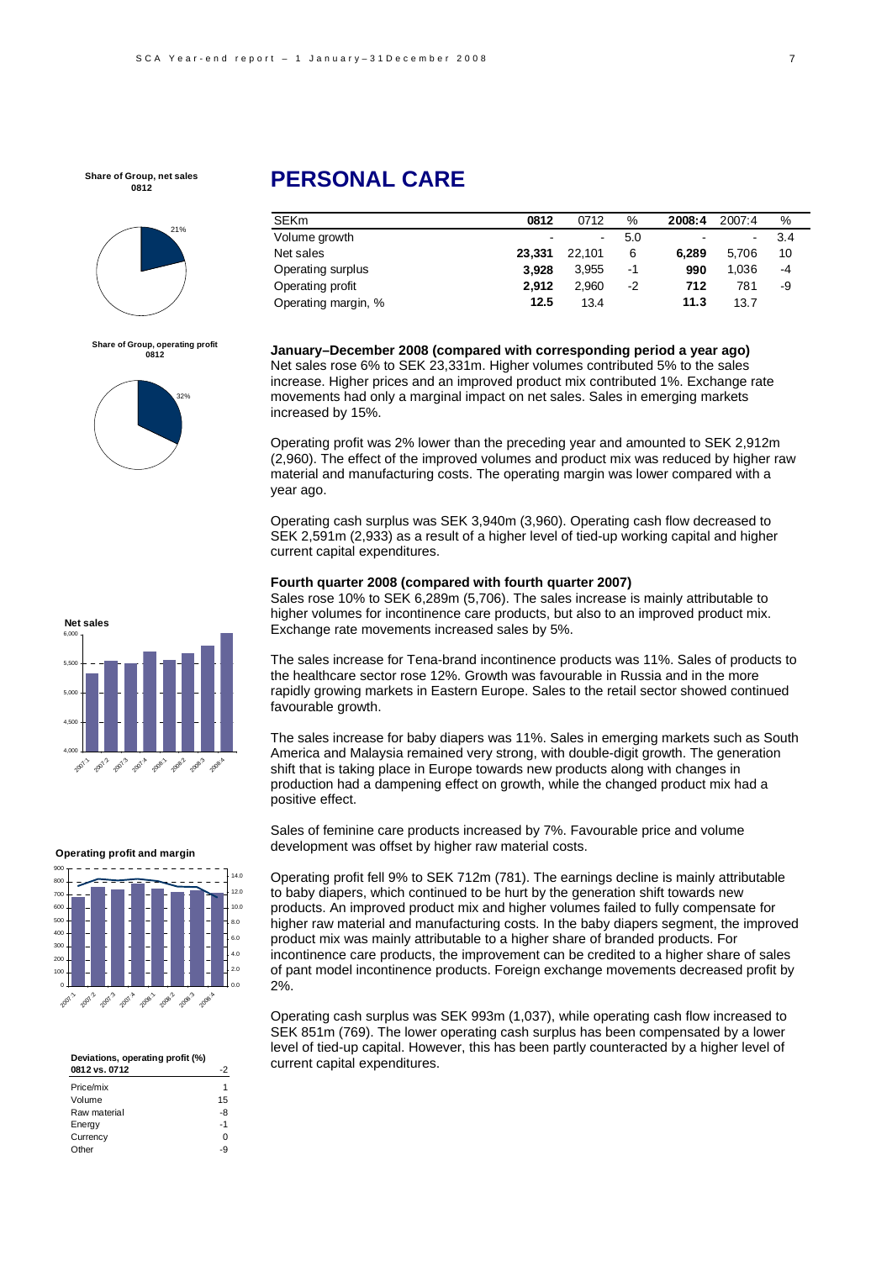

**Share of Group, operating profit 0812**



# **PERSONAL CARE**

| <b>SEKm</b>         | 0812                     | 0712   | %    | 2008:4 | 2007:4 | %   |
|---------------------|--------------------------|--------|------|--------|--------|-----|
| Volume growth       | $\overline{\phantom{0}}$ | $\sim$ | 5.0  | $\sim$ |        | 3.4 |
| Net sales           | 23.331                   | 22.101 | 6    | 6.289  | 5.706  | 10  |
| Operating surplus   | 3.928                    | 3.955  | $-1$ | 990    | 1.036  | -4  |
| Operating profit    | 2.912                    | 2.960  | $-2$ | 712    | 781    | -9  |
| Operating margin, % | 12.5                     | 13.4   |      | 11.3   | 13.7   |     |

**January–December 2008 (compared with corresponding period a year ago)**  Net sales rose 6% to SEK 23,331m. Higher volumes contributed 5% to the sales increase. Higher prices and an improved product mix contributed 1%. Exchange rate movements had only a marginal impact on net sales. Sales in emerging markets increased by 15%.

Operating profit was 2% lower than the preceding year and amounted to SEK 2,912m (2,960). The effect of the improved volumes and product mix was reduced by higher raw material and manufacturing costs. The operating margin was lower compared with a year ago.

Operating cash surplus was SEK 3,940m (3,960). Operating cash flow decreased to SEK 2,591m (2,933) as a result of a higher level of tied-up working capital and higher current capital expenditures.

#### **Fourth quarter 2008 (compared with fourth quarter 2007)**

Sales rose 10% to SEK 6,289m (5,706). The sales increase is mainly attributable to higher volumes for incontinence care products, but also to an improved product mix. Exchange rate movements increased sales by 5%.

The sales increase for Tena-brand incontinence products was 11%. Sales of products to the healthcare sector rose 12%. Growth was favourable in Russia and in the more rapidly growing markets in Eastern Europe. Sales to the retail sector showed continued favourable growth.

The sales increase for baby diapers was 11%. Sales in emerging markets such as South America and Malaysia remained very strong, with double-digit growth. The generation shift that is taking place in Europe towards new products along with changes in production had a dampening effect on growth, while the changed product mix had a positive effect.

Sales of feminine care products increased by 7%. Favourable price and volume development was offset by higher raw material costs.

Operating profit fell 9% to SEK 712m (781). The earnings decline is mainly attributable to baby diapers, which continued to be hurt by the generation shift towards new products. An improved product mix and higher volumes failed to fully compensate for higher raw material and manufacturing costs. In the baby diapers segment, the improved product mix was mainly attributable to a higher share of branded products. For incontinence care products, the improvement can be credited to a higher share of sales of pant model incontinence products. Foreign exchange movements decreased profit by 2%.

Operating cash surplus was SEK 993m (1,037), while operating cash flow increased to SEK 851m (769). The lower operating cash surplus has been compensated by a lower level of tied-up capital. However, this has been partly counteracted by a higher level of current capital expenditures.



#### **Operating profit and margin**



| Deviations, operating profit (%) |          |
|----------------------------------|----------|
| 0812 vs. 0712                    | 2        |
| Price/mix                        |          |
| Volume                           | 15       |
| Raw material                     | -8       |
| Energy                           | $-1$     |
| Currency                         | $\Omega$ |
| Other                            | -9       |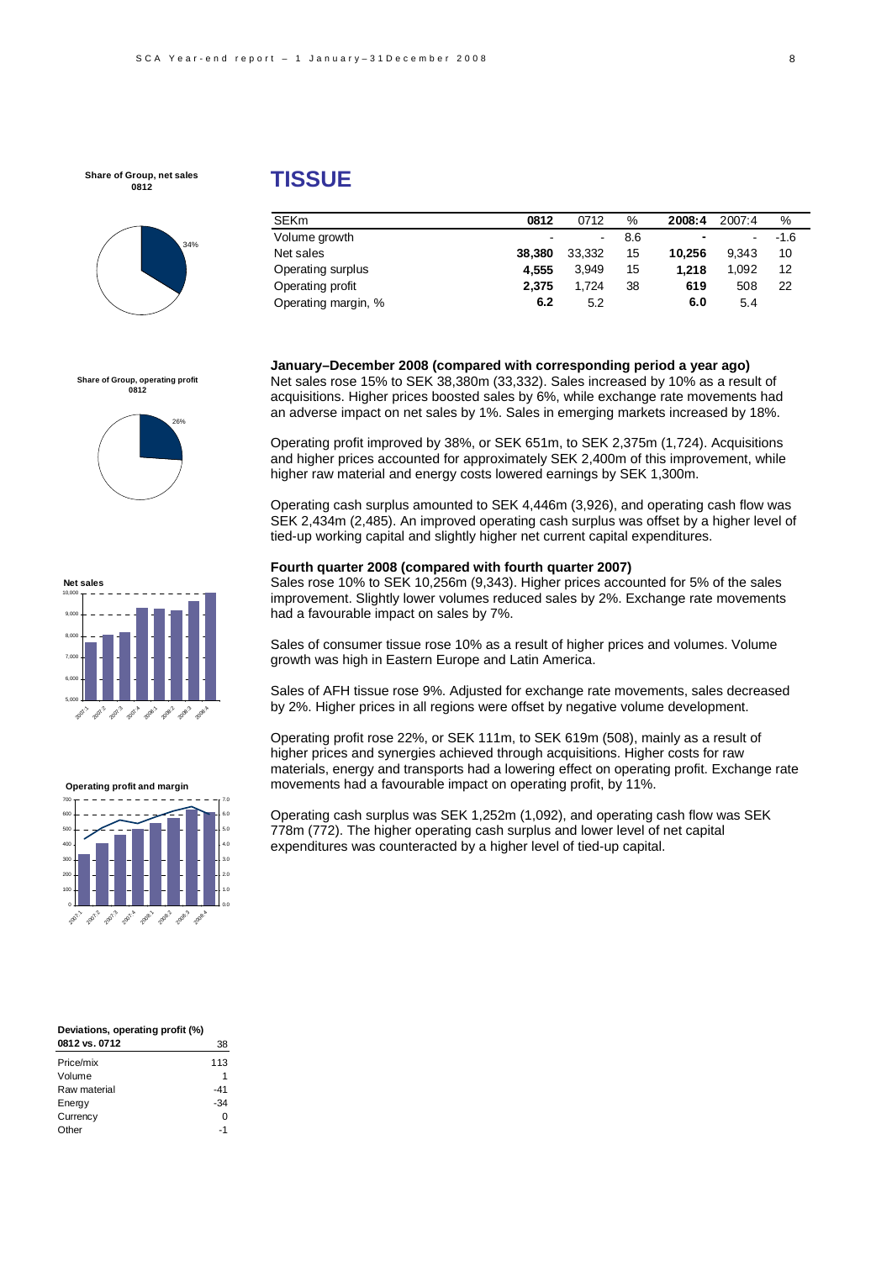

#### **Share of Group, operating profit 0812**







| Deviations, operating profit (%) |       |
|----------------------------------|-------|
| 0812 vs. 0712                    | 38    |
| Price/mix                        | 113   |
| Volume                           | 1     |
| Raw material                     | -41   |
| Energy                           | $-34$ |
| Currency                         |       |
| Other                            | -1    |

# **TISSUE**

| <b>SEKm</b>         | 0812                     | 0712   | %   | 2008:4         | 2007:4 | ℅      |
|---------------------|--------------------------|--------|-----|----------------|--------|--------|
| Volume growth       | $\overline{\phantom{0}}$ | $\sim$ | 8.6 | $\blacksquare$ |        | $-1.6$ |
| Net sales           | 38,380                   | 33.332 | 15  | 10.256         | 9.343  | 10     |
| Operating surplus   | 4.555                    | 3.949  | 15  | 1.218          | 1.092  | 12     |
| Operating profit    | 2.375                    | 1.724  | 38  | 619            | 508    | 22     |
| Operating margin, % | 6.2                      | 5.2    |     | 6.0            | 5.4    |        |

**January–December 2008 (compared with corresponding period a year ago)**  Net sales rose 15% to SEK 38,380m (33,332). Sales increased by 10% as a result of acquisitions. Higher prices boosted sales by 6%, while exchange rate movements had an adverse impact on net sales by 1%. Sales in emerging markets increased by 18%.

Operating profit improved by 38%, or SEK 651m, to SEK 2,375m (1,724). Acquisitions and higher prices accounted for approximately SEK 2,400m of this improvement, while higher raw material and energy costs lowered earnings by SEK 1,300m.

Operating cash surplus amounted to SEK 4,446m (3,926), and operating cash flow was SEK 2,434m (2,485). An improved operating cash surplus was offset by a higher level of tied-up working capital and slightly higher net current capital expenditures.

#### **Fourth quarter 2008 (compared with fourth quarter 2007)**

Sales rose 10% to SEK 10,256m (9,343). Higher prices accounted for 5% of the sales improvement. Slightly lower volumes reduced sales by 2%. Exchange rate movements had a favourable impact on sales by 7%.

Sales of consumer tissue rose 10% as a result of higher prices and volumes. Volume growth was high in Eastern Europe and Latin America.

Sales of AFH tissue rose 9%. Adjusted for exchange rate movements, sales decreased by 2%. Higher prices in all regions were offset by negative volume development.

Operating profit rose 22%, or SEK 111m, to SEK 619m (508), mainly as a result of higher prices and synergies achieved through acquisitions. Higher costs for raw materials, energy and transports had a lowering effect on operating profit. Exchange rate movements had a favourable impact on operating profit, by 11%.

Operating cash surplus was SEK 1,252m (1,092), and operating cash flow was SEK 778m (772). The higher operating cash surplus and lower level of net capital expenditures was counteracted by a higher level of tied-up capital.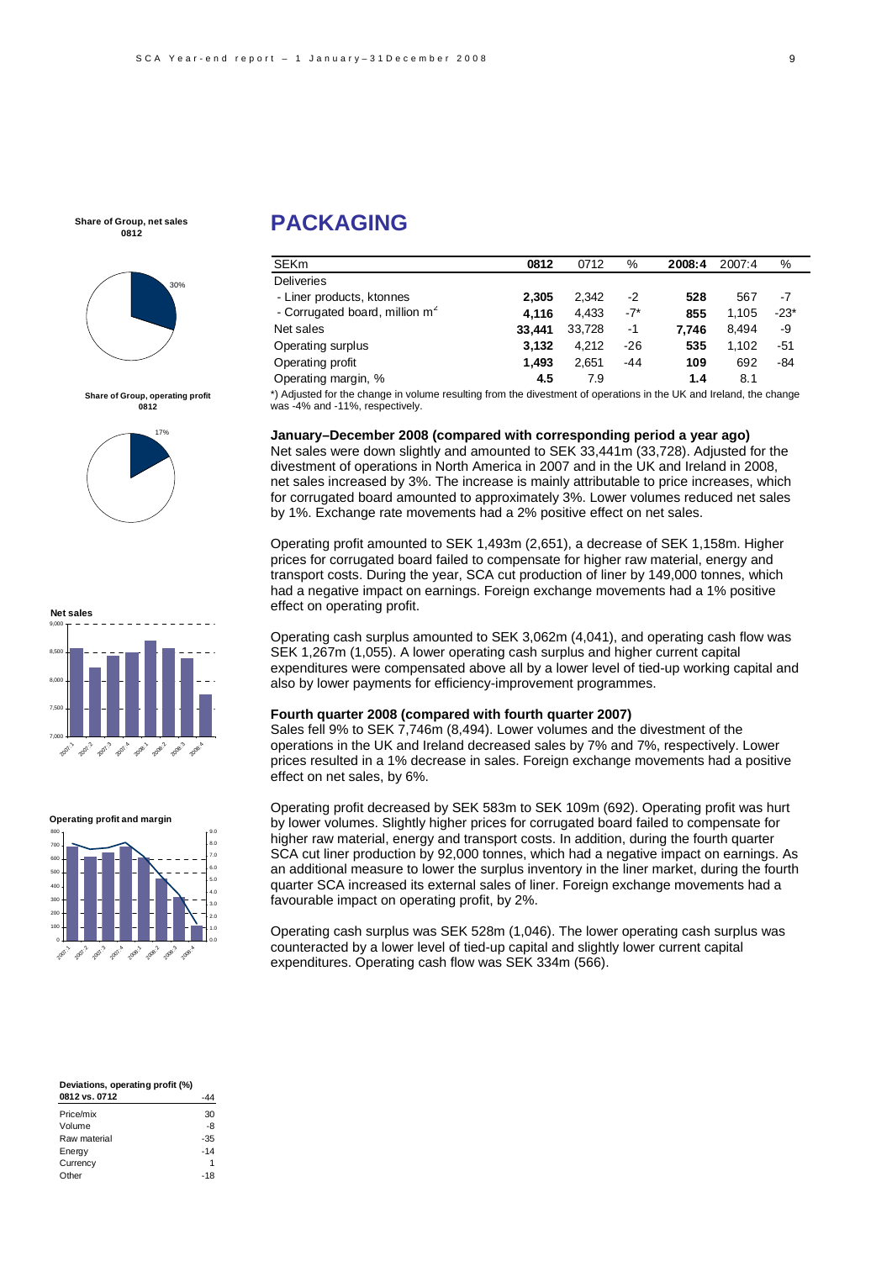

**Share of Group, operating profit 0812**





#### **Operating profit and margin**



# **PACKAGING**

| <b>SEKm</b>                                | 0812   | 0712   | %     | 2008:4 | 2007:4 | %      |
|--------------------------------------------|--------|--------|-------|--------|--------|--------|
| <b>Deliveries</b>                          |        |        |       |        |        |        |
| - Liner products, ktonnes                  | 2.305  | 2.342  | -2    | 528    | 567    | -7     |
| - Corrugated board, million m <sup>2</sup> | 4.116  | 4,433  | $-7*$ | 855    | 1.105  | $-23*$ |
| Net sales                                  | 33.441 | 33,728 | $-1$  | 7.746  | 8.494  | -9     |
| Operating surplus                          | 3.132  | 4.212  | $-26$ | 535    | 1.102  | -51    |
| Operating profit                           | 1.493  | 2,651  | $-44$ | 109    | 692    | -84    |
| Operating margin, %                        | 4.5    | 7.9    |       | 1.4    | 8.1    |        |

\*) Adjusted for the change in volume resulting from the divestment of operations in the UK and Ireland, the change was -4% and -11%, respectively.

**January–December 2008 (compared with corresponding period a year ago)** 

Net sales were down slightly and amounted to SEK 33,441m (33,728). Adjusted for the divestment of operations in North America in 2007 and in the UK and Ireland in 2008, net sales increased by 3%. The increase is mainly attributable to price increases, which for corrugated board amounted to approximately 3%. Lower volumes reduced net sales by 1%. Exchange rate movements had a 2% positive effect on net sales.

Operating profit amounted to SEK 1,493m (2,651), a decrease of SEK 1,158m. Higher prices for corrugated board failed to compensate for higher raw material, energy and transport costs. During the year, SCA cut production of liner by 149,000 tonnes, which had a negative impact on earnings. Foreign exchange movements had a 1% positive effect on operating profit.

Operating cash surplus amounted to SEK 3,062m (4,041), and operating cash flow was SEK 1,267m (1,055). A lower operating cash surplus and higher current capital expenditures were compensated above all by a lower level of tied-up working capital and also by lower payments for efficiency-improvement programmes.

### **Fourth quarter 2008 (compared with fourth quarter 2007)**

Sales fell 9% to SEK 7,746m (8,494). Lower volumes and the divestment of the operations in the UK and Ireland decreased sales by 7% and 7%, respectively. Lower prices resulted in a 1% decrease in sales. Foreign exchange movements had a positive effect on net sales, by 6%.

Operating profit decreased by SEK 583m to SEK 109m (692). Operating profit was hurt by lower volumes. Slightly higher prices for corrugated board failed to compensate for higher raw material, energy and transport costs. In addition, during the fourth quarter SCA cut liner production by 92,000 tonnes, which had a negative impact on earnings. As an additional measure to lower the surplus inventory in the liner market, during the fourth quarter SCA increased its external sales of liner. Foreign exchange movements had a favourable impact on operating profit, by 2%.

Operating cash surplus was SEK 528m (1,046). The lower operating cash surplus was counteracted by a lower level of tied-up capital and slightly lower current capital expenditures. Operating cash flow was SEK 334m (566).

| Deviations, operating profit (%) |       |
|----------------------------------|-------|
| 0812 vs. 0712                    |       |
| Price/mix                        | 30    |
| Volume                           | -8    |
| Raw material                     | $-35$ |
| Energy                           | $-14$ |
| Currency                         | 1     |
| Other                            | -18   |

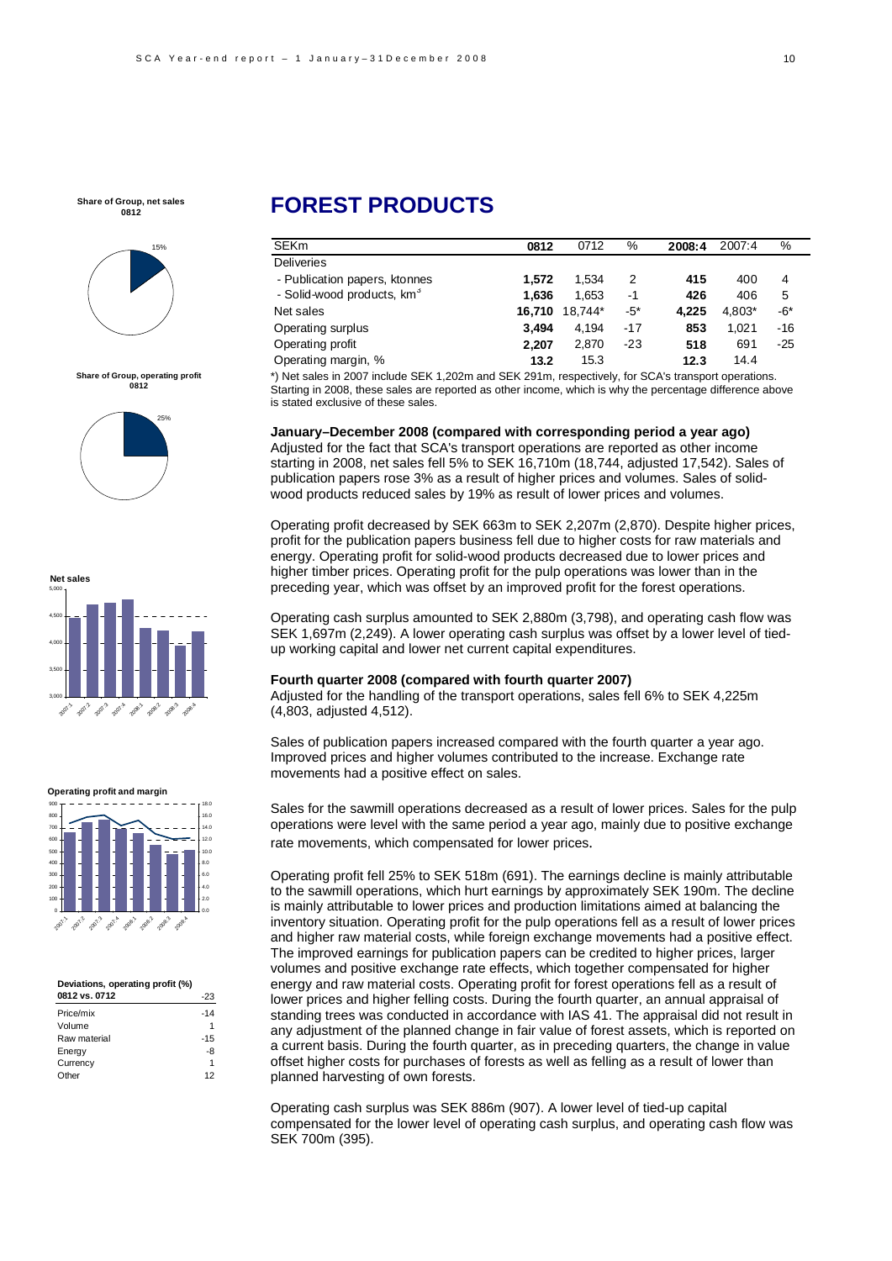

**Share of Group, operating profit 0812**





#### **Operating profit and margin**



#### **Deviations, operating profit (%) 0812 vs. 0712** -233

| <b>VOIZ VS. VIIZ</b> | -23   |
|----------------------|-------|
| Price/mix            | $-14$ |
| Volume               | 1     |
| Raw material         | $-15$ |
| Energy               | -8    |
| Currency             | 1     |
| Other                | 12    |

# **FOREST PRODUCTS**

| <b>SEKm</b>                            | 0812   | 0712    | %      | 2008:4 | 2007:4 | %     |
|----------------------------------------|--------|---------|--------|--------|--------|-------|
| <b>Deliveries</b>                      |        |         |        |        |        |       |
| - Publication papers, ktonnes          | 1.572  | 1.534   | 2      | 415    | 400    | 4     |
| - Solid-wood products, km <sup>3</sup> | 1.636  | 1,653   | $-1$   | 426    | 406    | 5     |
| Net sales                              | 16.710 | 18,744* | $-5^*$ | 4.225  | 4,803* | -6*   |
| Operating surplus                      | 3.494  | 4.194   | $-17$  | 853    | 1.021  | $-16$ |
| Operating profit                       | 2.207  | 2,870   | $-23$  | 518    | 691    | $-25$ |
| Operating margin, %                    | 13.2   | 15.3    |        | 12.3   | 14.4   |       |
|                                        |        |         |        |        |        |       |

\*) Net sales in 2007 include SEK 1,202m and SEK 291m, respectively, for SCA's transport operations. Starting in 2008, these sales are reported as other income, which is why the percentage difference above is stated exclusive of these sales.

### **January–December 2008 (compared with corresponding period a year ago)**

Adjusted for the fact that SCA's transport operations are reported as other income starting in 2008, net sales fell 5% to SEK 16,710m (18,744, adjusted 17,542). Sales of publication papers rose 3% as a result of higher prices and volumes. Sales of solidwood products reduced sales by 19% as result of lower prices and volumes.

Operating profit decreased by SEK 663m to SEK 2,207m (2,870). Despite higher prices, profit for the publication papers business fell due to higher costs for raw materials and energy. Operating profit for solid-wood products decreased due to lower prices and higher timber prices. Operating profit for the pulp operations was lower than in the preceding year, which was offset by an improved profit for the forest operations.

Operating cash surplus amounted to SEK 2,880m (3,798), and operating cash flow was SEK 1,697m (2,249). A lower operating cash surplus was offset by a lower level of tiedup working capital and lower net current capital expenditures.

#### **Fourth quarter 2008 (compared with fourth quarter 2007)**

Adjusted for the handling of the transport operations, sales fell 6% to SEK 4,225m (4,803, adjusted 4,512).

Sales of publication papers increased compared with the fourth quarter a year ago. Improved prices and higher volumes contributed to the increase. Exchange rate movements had a positive effect on sales.

Sales for the sawmill operations decreased as a result of lower prices. Sales for the pulp operations were level with the same period a year ago, mainly due to positive exchange rate movements, which compensated for lower prices.

Operating profit fell 25% to SEK 518m (691). The earnings decline is mainly attributable to the sawmill operations, which hurt earnings by approximately SEK 190m. The decline is mainly attributable to lower prices and production limitations aimed at balancing the inventory situation. Operating profit for the pulp operations fell as a result of lower prices and higher raw material costs, while foreign exchange movements had a positive effect. The improved earnings for publication papers can be credited to higher prices, larger volumes and positive exchange rate effects, which together compensated for higher energy and raw material costs. Operating profit for forest operations fell as a result of lower prices and higher felling costs. During the fourth quarter, an annual appraisal of standing trees was conducted in accordance with IAS 41. The appraisal did not result in any adjustment of the planned change in fair value of forest assets, which is reported on a current basis. During the fourth quarter, as in preceding quarters, the change in value offset higher costs for purchases of forests as well as felling as a result of lower than planned harvesting of own forests.

Operating cash surplus was SEK 886m (907). A lower level of tied-up capital compensated for the lower level of operating cash surplus, and operating cash flow was SEK 700m (395).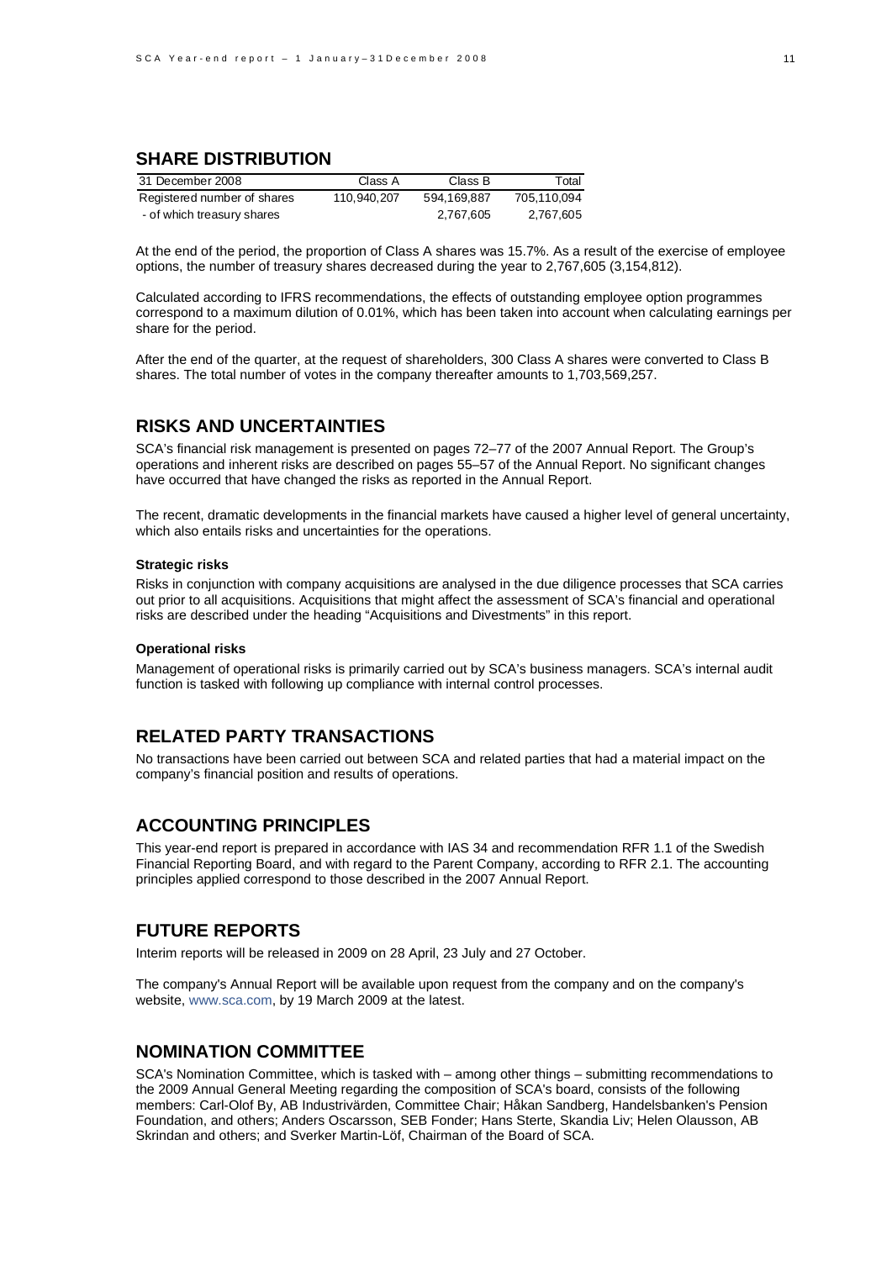# **SHARE DISTRIBUTION**

| 31 December 2008            | Class A     | Class B     | Total       |
|-----------------------------|-------------|-------------|-------------|
| Registered number of shares | 110.940.207 | 594.169.887 | 705.110.094 |
| - of which treasury shares  |             | 2,767,605   | 2.767.605   |

At the end of the period, the proportion of Class A shares was 15.7%. As a result of the exercise of employee options, the number of treasury shares decreased during the year to 2,767,605 (3,154,812).

Calculated according to IFRS recommendations, the effects of outstanding employee option programmes correspond to a maximum dilution of 0.01%, which has been taken into account when calculating earnings per share for the period.

After the end of the quarter, at the request of shareholders, 300 Class A shares were converted to Class B shares. The total number of votes in the company thereafter amounts to 1,703,569,257.

## **RISKS AND UNCERTAINTIES**

SCA's financial risk management is presented on pages 72–77 of the 2007 Annual Report. The Group's operations and inherent risks are described on pages 55–57 of the Annual Report. No significant changes have occurred that have changed the risks as reported in the Annual Report.

The recent, dramatic developments in the financial markets have caused a higher level of general uncertainty, which also entails risks and uncertainties for the operations.

#### **Strategic risks**

Risks in conjunction with company acquisitions are analysed in the due diligence processes that SCA carries out prior to all acquisitions. Acquisitions that might affect the assessment of SCA's financial and operational risks are described under the heading "Acquisitions and Divestments" in this report.

### **Operational risks**

Management of operational risks is primarily carried out by SCA's business managers. SCA's internal audit function is tasked with following up compliance with internal control processes.

### **RELATED PARTY TRANSACTIONS**

No transactions have been carried out between SCA and related parties that had a material impact on the company's financial position and results of operations.

### **ACCOUNTING PRINCIPLES**

This year-end report is prepared in accordance with IAS 34 and recommendation RFR 1.1 of the Swedish Financial Reporting Board, and with regard to the Parent Company, according to RFR 2.1. The accounting principles applied correspond to those described in the 2007 Annual Report.

## **FUTURE REPORTS**

Interim reports will be released in 2009 on 28 April, 23 July and 27 October.

The company's Annual Report will be available upon request from the company and on the company's website, www.sca.com, by 19 March 2009 at the latest.

### **NOMINATION COMMITTEE**

SCA's Nomination Committee, which is tasked with – among other things – submitting recommendations to the 2009 Annual General Meeting regarding the composition of SCA's board, consists of the following members: Carl-Olof By, AB Industrivärden, Committee Chair; Håkan Sandberg, Handelsbanken's Pension Foundation, and others; Anders Oscarsson, SEB Fonder; Hans Sterte, Skandia Liv; Helen Olausson, AB Skrindan and others; and Sverker Martin-Löf, Chairman of the Board of SCA.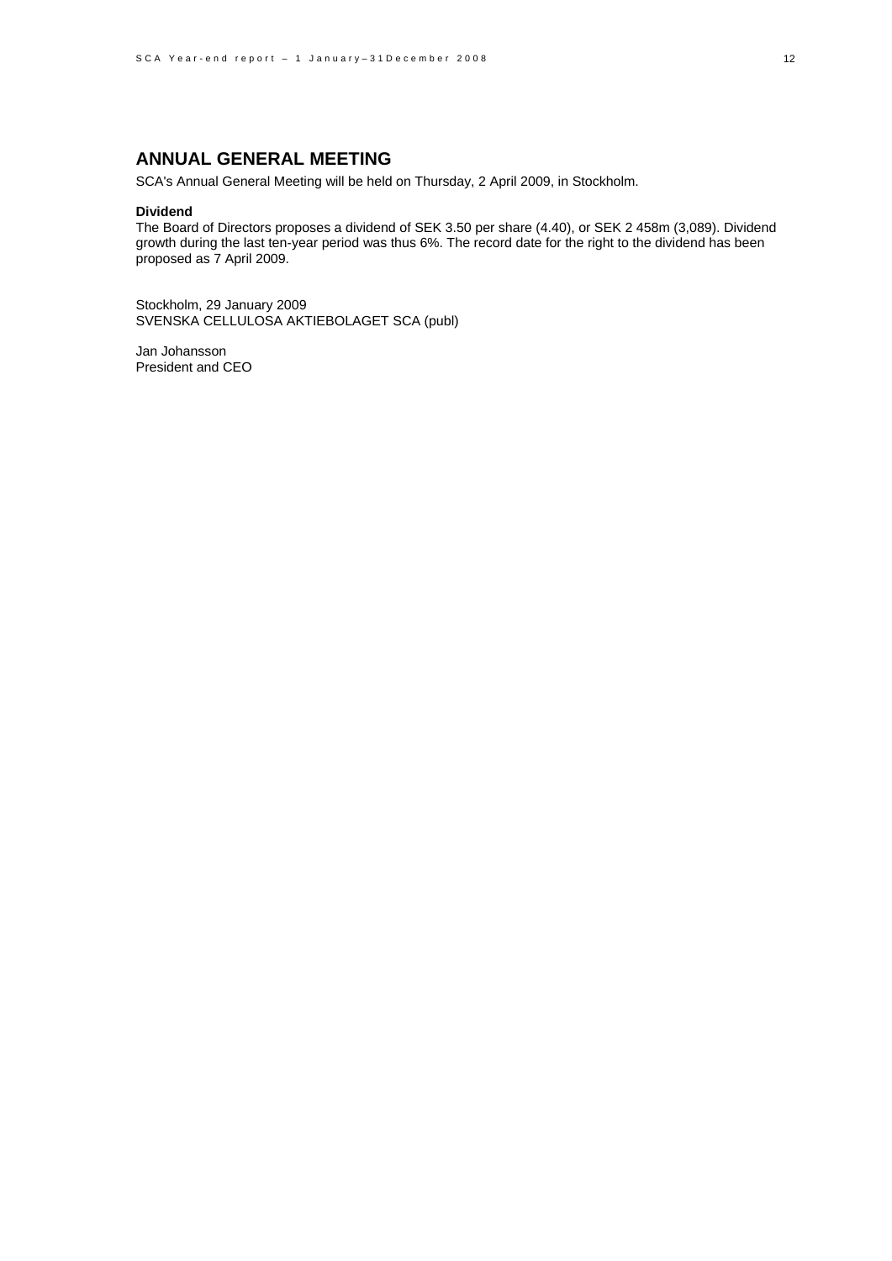# **ANNUAL GENERAL MEETING**

SCA's Annual General Meeting will be held on Thursday, 2 April 2009, in Stockholm.

### **Dividend**

The Board of Directors proposes a dividend of SEK 3.50 per share (4.40), or SEK 2 458m (3,089). Dividend growth during the last ten-year period was thus 6%. The record date for the right to the dividend has been proposed as 7 April 2009.

Stockholm, 29 January 2009 SVENSKA CELLULOSA AKTIEBOLAGET SCA (publ)

Jan Johansson President and CEO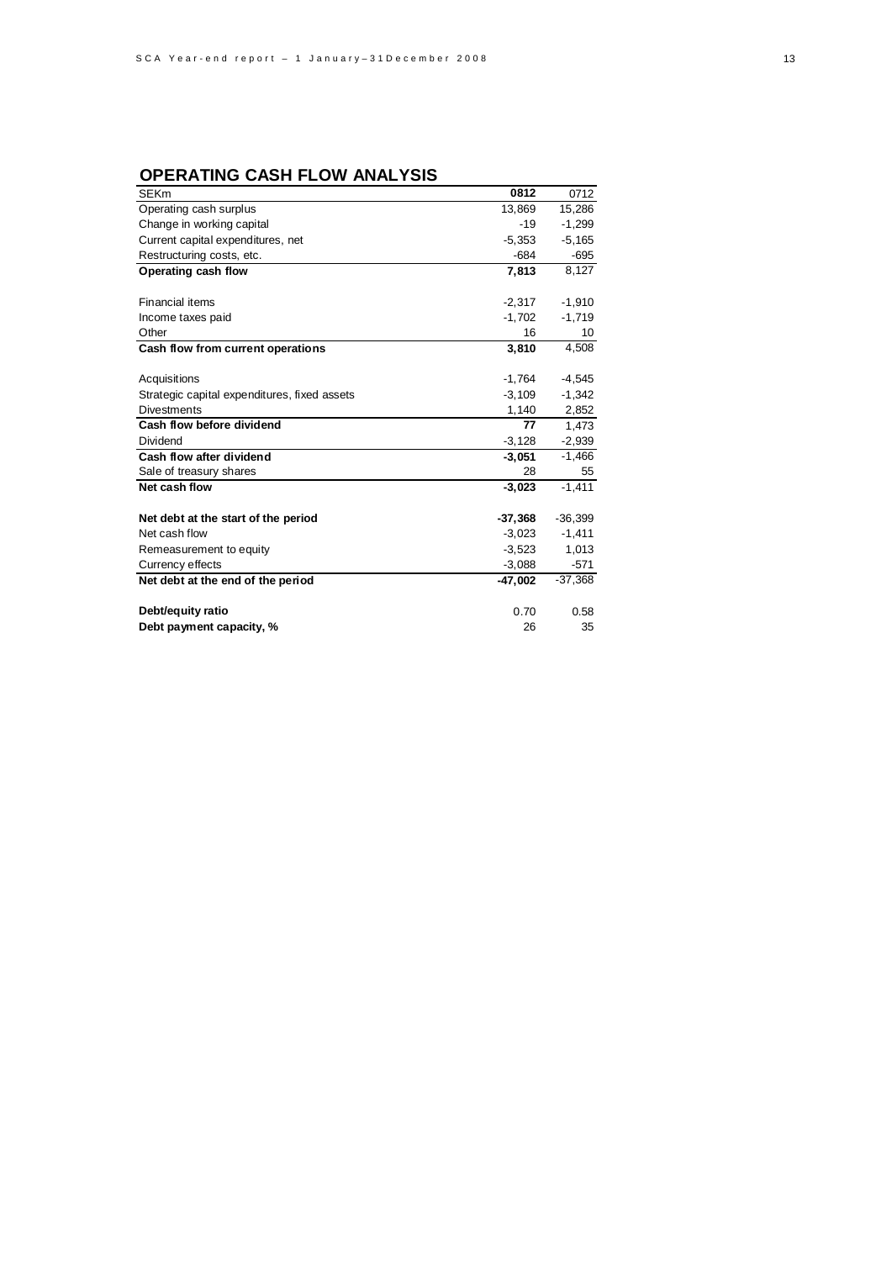# **OPERATING CASH FLOW ANALYSIS**

| <b>SEKm</b>                                  | 0812      | 0712      |
|----------------------------------------------|-----------|-----------|
| Operating cash surplus                       | 13,869    | 15,286    |
| Change in working capital                    | $-19$     | $-1,299$  |
| Current capital expenditures, net            | $-5,353$  | $-5,165$  |
| Restructuring costs, etc.                    | $-684$    | -695      |
| Operating cash flow                          | 7,813     | 8,127     |
|                                              |           |           |
| <b>Financial items</b>                       | $-2,317$  | $-1,910$  |
| Income taxes paid                            | $-1,702$  | $-1,719$  |
| Other                                        | 16        | 10        |
| Cash flow from current operations            | 3,810     | 4,508     |
|                                              |           |           |
| Acquisitions                                 | $-1,764$  | $-4,545$  |
| Strategic capital expenditures, fixed assets | $-3,109$  | $-1,342$  |
| <b>Divestments</b>                           | 1,140     | 2,852     |
| Cash flow before dividend                    | 77        | 1,473     |
| Dividend                                     | $-3,128$  | $-2,939$  |
| Cash flow after dividend                     | $-3,051$  | $-1,466$  |
| Sale of treasury shares                      | 28        | 55        |
| Net cash flow                                | $-3,023$  | $-1,411$  |
| Net debt at the start of the period          | $-37,368$ | $-36,399$ |
| Net cash flow                                | $-3,023$  | $-1,411$  |
| Remeasurement to equity                      | $-3,523$  | 1,013     |
| Currency effects                             | $-3,088$  | $-571$    |
| Net debt at the end of the period            | $-47.002$ | $-37,368$ |
| Debt/equity ratio                            | 0.70      | 0.58      |
| Debt payment capacity, %                     | 26        | 35        |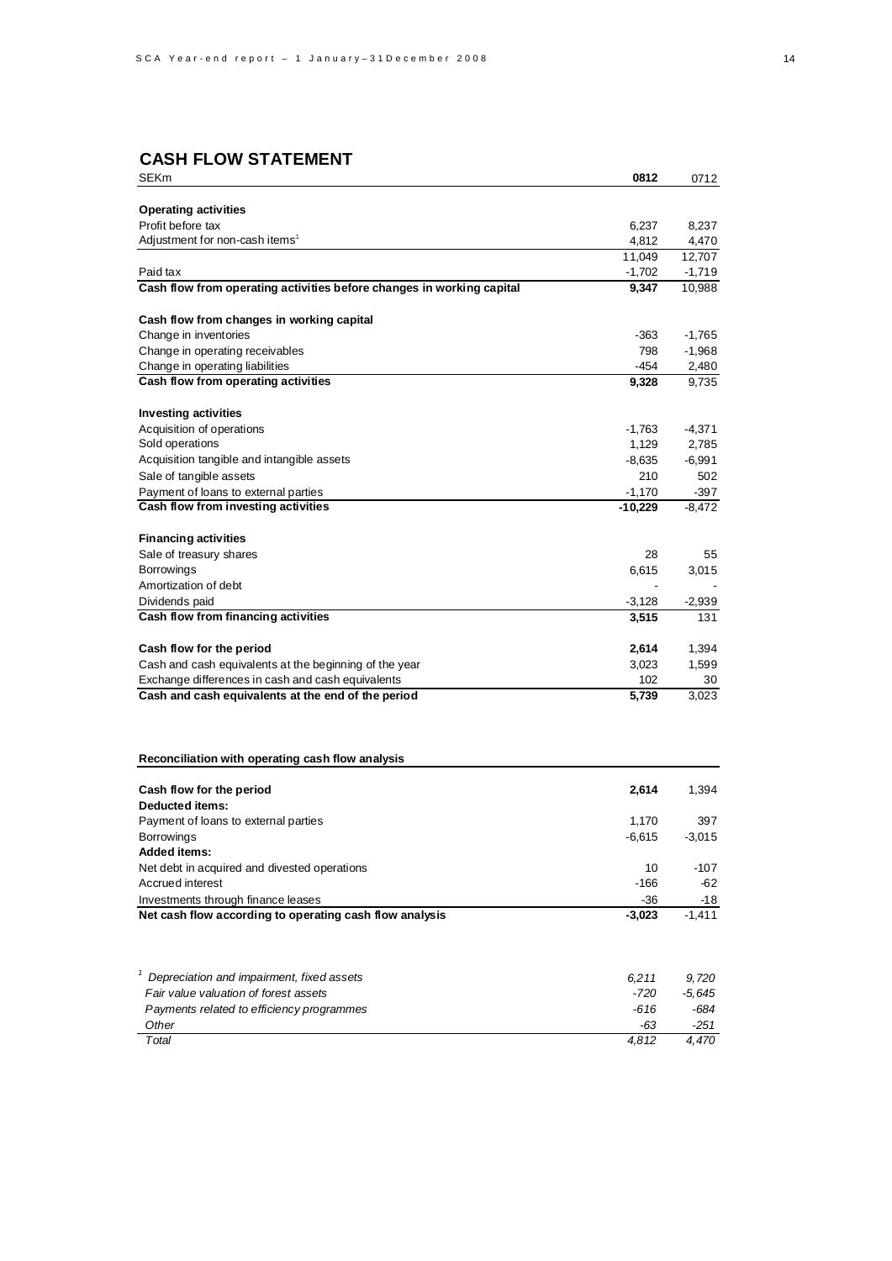# **CASH FLOW STATEMENT**

| <b>SEKm</b>                                                           | 0812      | 0712     |
|-----------------------------------------------------------------------|-----------|----------|
|                                                                       |           |          |
| <b>Operating activities</b>                                           |           |          |
| Profit before tax                                                     | 6,237     | 8,237    |
| Adjustment for non-cash items <sup>1</sup>                            | 4,812     | 4,470    |
|                                                                       | 11,049    | 12,707   |
| Paid tax                                                              | $-1,702$  | $-1,719$ |
| Cash flow from operating activities before changes in working capital | 9,347     | 10,988   |
| Cash flow from changes in working capital                             |           |          |
| Change in inventories                                                 | -363      | $-1,765$ |
| Change in operating receivables                                       | 798       | $-1,968$ |
| Change in operating liabilities                                       | -454      | 2,480    |
| Cash flow from operating activities                                   | 9,328     | 9,735    |
| <b>Investing activities</b>                                           |           |          |
| Acquisition of operations                                             | $-1,763$  | $-4,371$ |
| Sold operations                                                       | 1,129     | 2,785    |
| Acquisition tangible and intangible assets                            | $-8,635$  | $-6,991$ |
| Sale of tangible assets                                               | 210       | 502      |
| Payment of loans to external parties                                  | $-1,170$  | $-397$   |
| Cash flow from investing activities                                   | $-10,229$ | $-8,472$ |
| <b>Financing activities</b>                                           |           |          |
| Sale of treasury shares                                               | 28        | 55       |
| Borrowings                                                            | 6,615     | 3,015    |
| Amortization of debt                                                  |           |          |
| Dividends paid                                                        | $-3,128$  | $-2,939$ |
| Cash flow from financing activities                                   | 3,515     | 131      |
|                                                                       |           |          |
| Cash flow for the period                                              | 2,614     | 1,394    |
| Cash and cash equivalents at the beginning of the year                | 3,023     | 1,599    |
| Exchange differences in cash and cash equivalents                     | 102       | 30       |
| Cash and cash equivalents at the end of the period                    | 5,739     | 3,023    |
|                                                                       |           |          |
| Reconciliation with operating cash flow analysis                      |           |          |
|                                                                       |           |          |
| Cash flow for the period<br><b>Deducted items:</b>                    | 2,614     | 1,394    |
| Payment of loans to external parties                                  | 1,170     | 397      |
| <b>Borrowings</b>                                                     | $-6,615$  | $-3,015$ |
| <b>Added items:</b>                                                   |           |          |
| Net debt in acquired and divested operations                          | 10        | -107     |
| Accrued interest                                                      | $-166$    | -62      |
| Investments through finance leases                                    | $-36$     | -18      |
| Net cash flow according to operating cash flow analysis               | $-3,023$  | $-1,411$ |
|                                                                       |           |          |
| Depreciation and impairment, fixed assets                             | 6,211     | 9,720    |
| Fair value valuation of forest assets                                 | -720      | -5,645   |
| Payments related to efficiency programmes                             | -616      | -684     |
| Other                                                                 | $-63$     | $-251$   |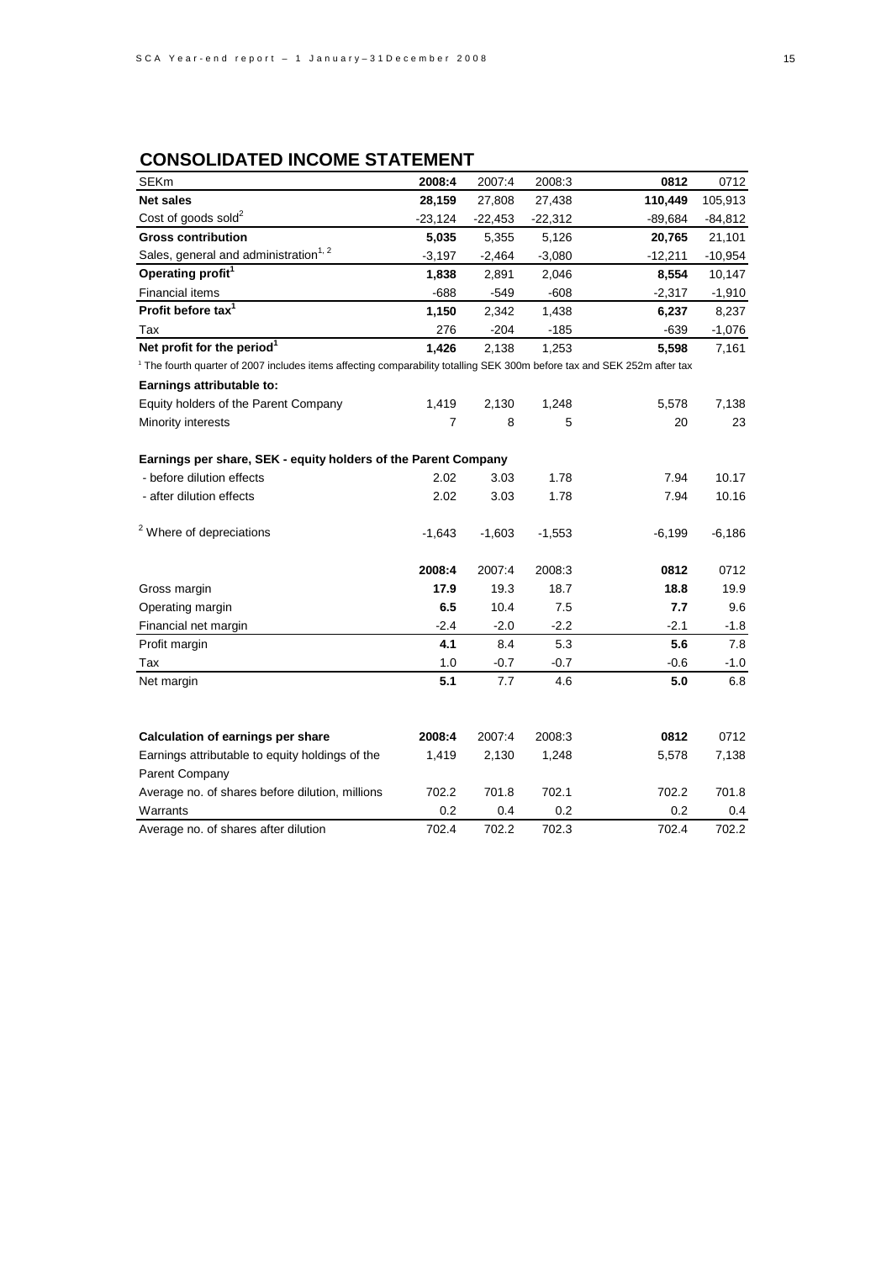# **CONSOLIDATED INCOME STATEMENT**

| SEKm                                                                                                                     | 2008:4    | 2007:4    | 2008:3    | 0812      | 0712      |
|--------------------------------------------------------------------------------------------------------------------------|-----------|-----------|-----------|-----------|-----------|
| <b>Net sales</b>                                                                                                         | 28,159    | 27,808    | 27,438    | 110,449   | 105,913   |
| Cost of goods sold <sup>2</sup>                                                                                          | $-23,124$ | $-22,453$ | $-22,312$ | $-89,684$ | $-84,812$ |
| <b>Gross contribution</b>                                                                                                | 5,035     | 5,355     | 5,126     | 20,765    | 21,101    |
| Sales, general and administration <sup>1, 2</sup>                                                                        | $-3,197$  | $-2,464$  | $-3,080$  | -12,211   | $-10,954$ |
| Operating profit <sup>1</sup>                                                                                            | 1,838     | 2,891     | 2,046     | 8,554     | 10,147    |
| <b>Financial items</b>                                                                                                   | $-688$    | $-549$    | $-608$    | $-2,317$  | $-1,910$  |
| Profit before tax <sup>1</sup>                                                                                           | 1,150     | 2,342     | 1,438     | 6,237     | 8,237     |
| Tax                                                                                                                      | 276       | $-204$    | $-185$    | $-639$    | $-1,076$  |
| Net profit for the period <sup>1</sup>                                                                                   | 1,426     | 2,138     | 1,253     | 5,598     | 7,161     |
| 1 The fourth quarter of 2007 includes items affecting comparability totalling SEK 300m before tax and SEK 252m after tax |           |           |           |           |           |
| Earnings attributable to:                                                                                                |           |           |           |           |           |
| Equity holders of the Parent Company                                                                                     | 1,419     | 2,130     | 1,248     | 5,578     | 7,138     |
| Minority interests                                                                                                       | 7         | 8         | 5         | 20        | 23        |
| Earnings per share, SEK - equity holders of the Parent Company                                                           |           |           |           |           |           |
| - before dilution effects                                                                                                | 2.02      | 3.03      | 1.78      | 7.94      | 10.17     |
| - after dilution effects                                                                                                 | 2.02      | 3.03      | 1.78      | 7.94      | 10.16     |
| <sup>2</sup> Where of depreciations                                                                                      | $-1,643$  | $-1,603$  | $-1,553$  | $-6,199$  | $-6,186$  |
|                                                                                                                          | 2008:4    | 2007:4    | 2008:3    | 0812      | 0712      |
| Gross margin                                                                                                             | 17.9      | 19.3      | 18.7      | 18.8      | 19.9      |
| Operating margin                                                                                                         | 6.5       | 10.4      | 7.5       | 7.7       | 9.6       |
| Financial net margin                                                                                                     | $-2.4$    | $-2.0$    | $-2.2$    | $-2.1$    | $-1.8$    |
| Profit margin                                                                                                            | 4.1       | 8.4       | 5.3       | 5.6       | 7.8       |
| Tax                                                                                                                      | 1.0       | $-0.7$    | $-0.7$    | $-0.6$    | $-1.0$    |
| Net margin                                                                                                               | 5.1       | 7.7       | 4.6       | 5.0       | 6.8       |
|                                                                                                                          |           |           |           |           |           |
| Calculation of earnings per share                                                                                        | 2008:4    | 2007:4    | 2008:3    | 0812      | 0712      |
| Earnings attributable to equity holdings of the                                                                          | 1,419     | 2,130     | 1,248     | 5,578     | 7,138     |
| Parent Company                                                                                                           |           |           |           |           |           |
| Average no. of shares before dilution, millions                                                                          | 702.2     | 701.8     | 702.1     | 702.2     | 701.8     |
| Warrants                                                                                                                 | 0.2       | 0.4       | 0.2       | 0.2       | 0.4       |
| Average no. of shares after dilution                                                                                     | 702.4     | 702.2     | 702.3     | 702.4     | 702.2     |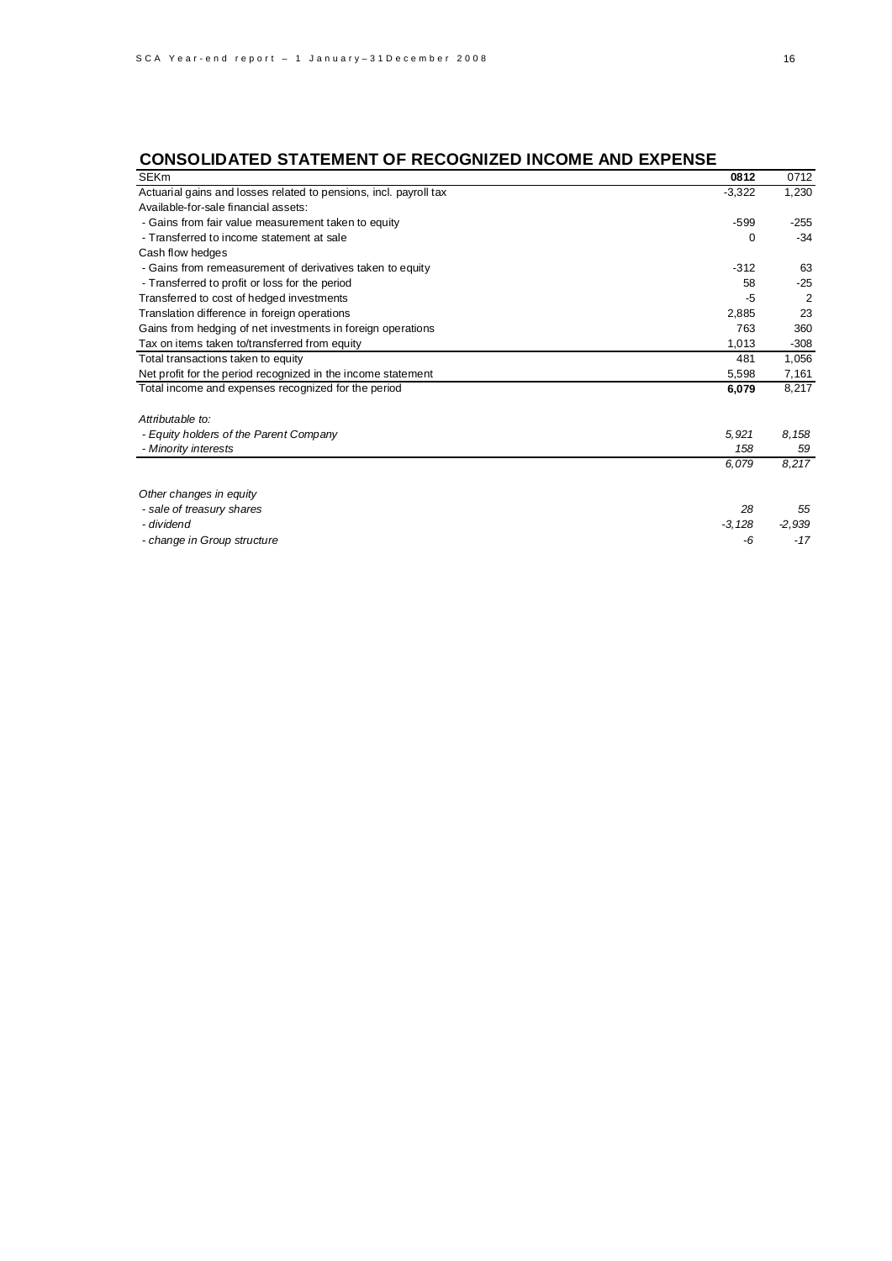# **CONSOLIDATED STATEMENT OF RECOGNIZED INCOME AND EXPENSE**

| <b>SEKm</b>                                                       | 0812     | 0712     |
|-------------------------------------------------------------------|----------|----------|
| Actuarial gains and losses related to pensions, incl. payroll tax | $-3,322$ | 1,230    |
| Available-for-sale financial assets:                              |          |          |
| - Gains from fair value measurement taken to equity               | $-599$   | $-255$   |
| - Transferred to income statement at sale                         | 0        | $-34$    |
| Cash flow hedges                                                  |          |          |
| - Gains from remeasurement of derivatives taken to equity         | $-312$   | 63       |
| - Transferred to profit or loss for the period                    | 58       | $-25$    |
| Transferred to cost of hedged investments                         | -5       | 2        |
| Translation difference in foreign operations                      | 2,885    | 23       |
| Gains from hedging of net investments in foreign operations       | 763      | 360      |
| Tax on items taken to/transferred from equity                     | 1,013    | $-308$   |
| Total transactions taken to equity                                | 481      | 1,056    |
| Net profit for the period recognized in the income statement      | 5,598    | 7,161    |
| Total income and expenses recognized for the period               | 6,079    | 8,217    |
| Attributable to:                                                  |          |          |
| - Equity holders of the Parent Company                            | 5,921    | 8,158    |
| - Minority interests                                              | 158      | 59       |
|                                                                   | 6,079    | 8,217    |
| Other changes in equity                                           |          |          |
| - sale of treasury shares                                         | 28       | 55       |
| - dividend                                                        | $-3,128$ | $-2,939$ |
| - change in Group structure                                       | -6       | $-17$    |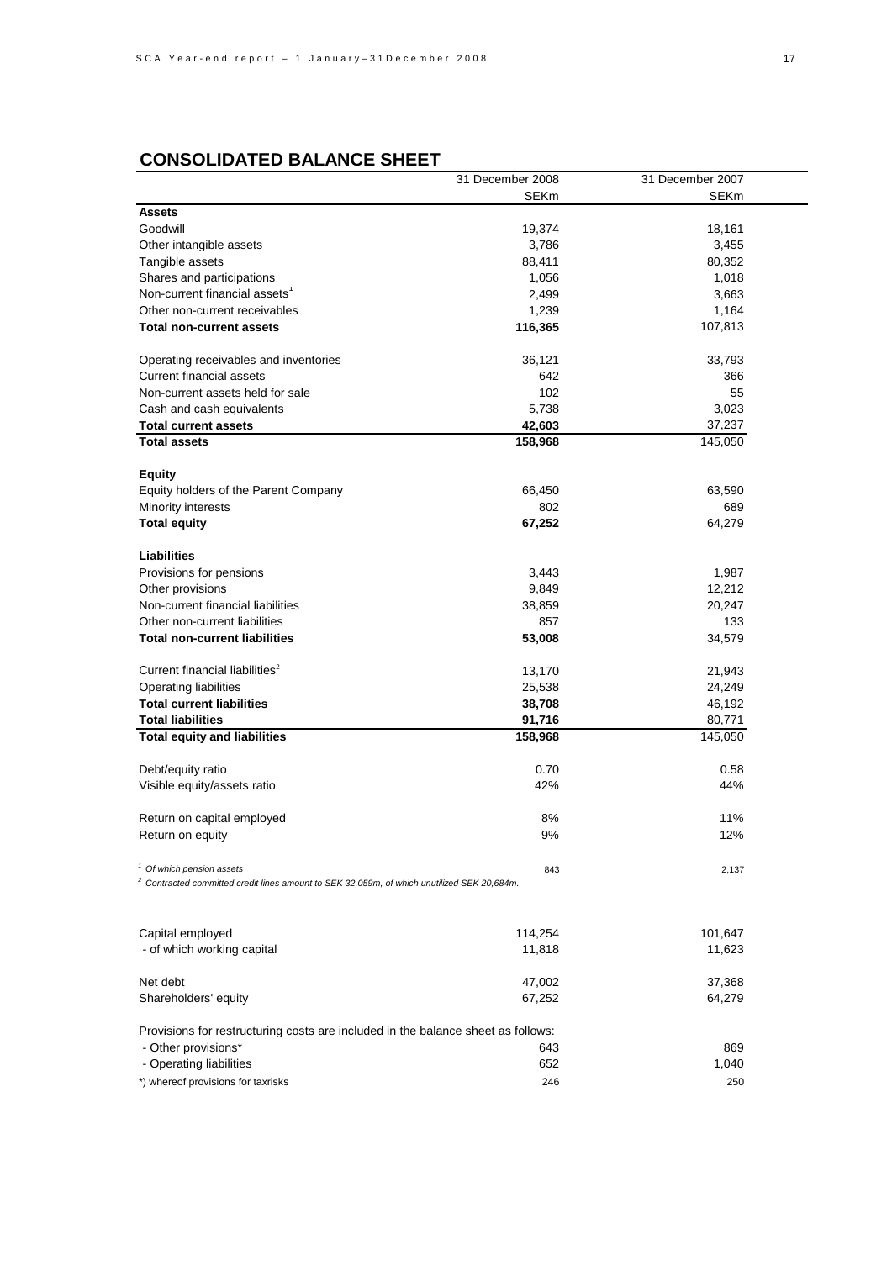# **CONSOLIDATED BALANCE SHEET**

|                                                                                               | 31 December 2008 | 31 December 2007 |
|-----------------------------------------------------------------------------------------------|------------------|------------------|
|                                                                                               | <b>SEKm</b>      | <b>SEKm</b>      |
| <b>Assets</b>                                                                                 |                  |                  |
| Goodwill                                                                                      | 19,374           | 18,161           |
| Other intangible assets                                                                       | 3,786            | 3,455            |
| Tangible assets                                                                               | 88,411           | 80,352           |
| Shares and participations                                                                     | 1,056            | 1,018            |
| Non-current financial assets <sup>1</sup>                                                     | 2,499            | 3,663            |
| Other non-current receivables                                                                 | 1,239            | 1,164            |
| <b>Total non-current assets</b>                                                               | 116,365          | 107,813          |
| Operating receivables and inventories                                                         | 36,121           | 33,793           |
| <b>Current financial assets</b>                                                               | 642              | 366              |
| Non-current assets held for sale                                                              | 102              | 55               |
| Cash and cash equivalents                                                                     | 5,738            | 3,023            |
| <b>Total current assets</b>                                                                   | 42,603           | 37,237           |
| <b>Total assets</b>                                                                           | 158,968          | 145,050          |
|                                                                                               |                  |                  |
| <b>Equity</b>                                                                                 |                  |                  |
| Equity holders of the Parent Company                                                          | 66,450           | 63,590           |
| Minority interests                                                                            | 802              | 689              |
| <b>Total equity</b>                                                                           | 67,252           | 64,279           |
| <b>Liabilities</b>                                                                            |                  |                  |
| Provisions for pensions                                                                       | 3,443            | 1,987            |
| Other provisions                                                                              | 9,849            | 12,212           |
| Non-current financial liabilities                                                             | 38,859           | 20,247           |
| Other non-current liabilities                                                                 | 857              | 133              |
| <b>Total non-current liabilities</b>                                                          | 53,008           | 34,579           |
| Current financial liabilities <sup>2</sup>                                                    | 13,170           | 21,943           |
| <b>Operating liabilities</b>                                                                  | 25,538           | 24,249           |
| <b>Total current liabilities</b>                                                              | 38,708           | 46,192           |
| <b>Total liabilities</b>                                                                      | 91,716           | 80,771           |
| <b>Total equity and liabilities</b>                                                           | 158,968          | 145,050          |
| Debt/equity ratio                                                                             | 0.70             | 0.58             |
| Visible equity/assets ratio                                                                   | 42%              | 44%              |
|                                                                                               |                  |                  |
| Return on capital employed                                                                    | 8%               | 11%              |
| Return on equity                                                                              | 9%               | 12%              |
| <sup>1</sup> Of which pension assets                                                          | 843              | 2,137            |
| $2$ Contracted committed credit lines amount to SEK 32,059m, of which unutilized SEK 20,684m. |                  |                  |
|                                                                                               |                  |                  |
| Capital employed                                                                              | 114,254          | 101,647          |
| - of which working capital                                                                    | 11,818           | 11,623           |
| Net debt                                                                                      | 47,002           | 37,368           |
| Shareholders' equity                                                                          | 67,252           | 64,279           |
| Provisions for restructuring costs are included in the balance sheet as follows:              |                  |                  |
| - Other provisions*                                                                           | 643              | 869              |
| - Operating liabilities                                                                       | 652              | 1,040            |
| *) whereof provisions for taxrisks                                                            | 246              | 250              |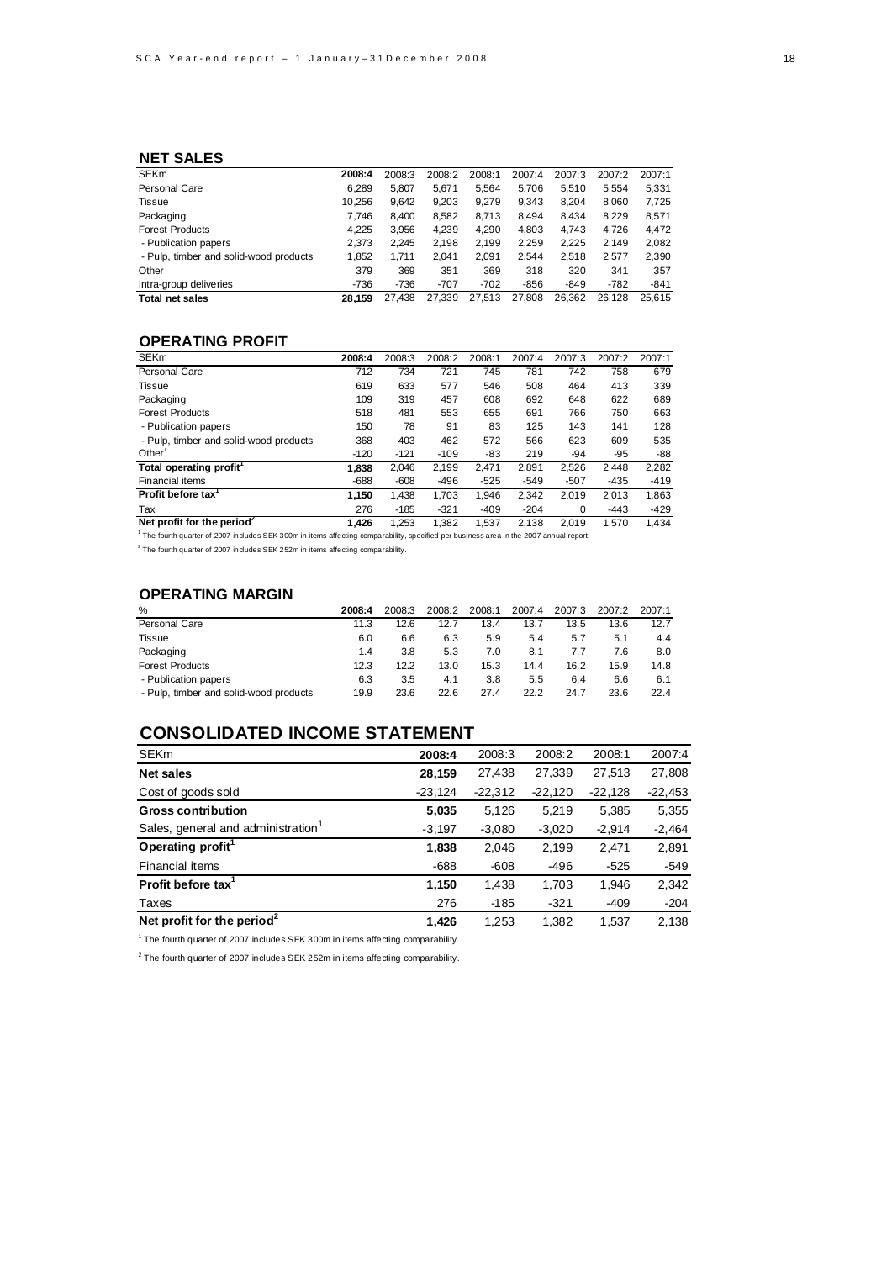### **NET SALES**

| <b>SEKm</b>                            | 2008:4 | 2008:3 | 2008:2 | 2008:1 | 2007:4 | 2007:3 | 2007:2 | 2007:1 |
|----------------------------------------|--------|--------|--------|--------|--------|--------|--------|--------|
| Personal Care                          | 6.289  | 5.807  | 5.671  | 5.564  | 5.706  | 5.510  | 5.554  | 5.331  |
| Tissue                                 | 10.256 | 9,642  | 9,203  | 9,279  | 9.343  | 8.204  | 8,060  | 7,725  |
| Packaging                              | 7.746  | 8.400  | 8.582  | 8.713  | 8.494  | 8.434  | 8.229  | 8.571  |
| <b>Forest Products</b>                 | 4.225  | 3.956  | 4.239  | 4.290  | 4.803  | 4.743  | 4.726  | 4,472  |
| - Publication papers                   | 2.373  | 2.245  | 2.198  | 2.199  | 2.259  | 2.225  | 2.149  | 2,082  |
| - Pulp, timber and solid-wood products | 1,852  | 1.711  | 2.041  | 2,091  | 2.544  | 2.518  | 2.577  | 2,390  |
| Other                                  | 379    | 369    | 351    | 369    | 318    | 320    | 341    | 357    |
| Intra-group deliveries                 | $-736$ | $-736$ | $-707$ | $-702$ | $-856$ | -849   | $-782$ | $-841$ |
| <b>Total net sales</b>                 | 28.159 | 27.438 | 27.339 | 27.513 | 27.808 | 26.362 | 26.128 | 25.615 |

### **OPERATING PROFIT**

| <b>SEKm</b>                            | 2008:4 | 2008:3 | 2008:2 | 2008:1 | 2007:4 | 2007:3 | 2007:2 | 2007:1 |
|----------------------------------------|--------|--------|--------|--------|--------|--------|--------|--------|
| Personal Care                          | 712    | 734    | 721    | 745    | 781    | 742    | 758    | 679    |
| Tissue                                 | 619    | 633    | 577    | 546    | 508    | 464    | 413    | 339    |
| Packaging                              | 109    | 319    | 457    | 608    | 692    | 648    | 622    | 689    |
| <b>Forest Products</b>                 | 518    | 481    | 553    | 655    | 691    | 766    | 750    | 663    |
| - Publication papers                   | 150    | 78     | 91     | 83     | 125    | 143    | 141    | 128    |
| - Pulp, timber and solid-wood products | 368    | 403    | 462    | 572    | 566    | 623    | 609    | 535    |
| Other <sup>1</sup>                     | $-120$ | $-121$ | $-109$ | -83    | 219    | $-94$  | $-95$  | -88    |
| Total operating profit <sup>1</sup>    | 1.838  | 2.046  | 2.199  | 2.471  | 2.891  | 2.526  | 2.448  | 2.282  |
| Financial items                        | -688   | $-608$ | $-496$ | $-525$ | $-549$ | $-507$ | $-435$ | $-419$ |
| Profit before tax <sup>1</sup>         | 1,150  | 1,438  | 1.703  | 1,946  | 2.342  | 2.019  | 2.013  | 1,863  |
| Tax                                    | 276    | $-185$ | $-321$ | $-409$ | $-204$ | 0      | $-443$ | $-429$ |
| Net profit for the period <sup>2</sup> | 1.426  | 1,253  | 1.382  | 1.537  | 2.138  | 2.019  | 1.570  | 1.434  |
|                                        |        |        |        |        |        |        |        |        |

<sup>1</sup> The fourth quarter of 2007 includes SEK 300m in items affecting comparability, specified per business area in the 2007 annual report.

 $2$  The fourth quarter of 2007 includes SEK 252m in items affecting comparability.

### **OPERATING MARGIN**

| %                                      | 2008:4 | 2008:3 | 2008:2 | 2008:1 | 2007:4 | 2007:3 | 2007:2 | 2007:1 |
|----------------------------------------|--------|--------|--------|--------|--------|--------|--------|--------|
| Personal Care                          | 11.3   | 12.6   | 12.7   | 13.4   | 13.7   | 13.5   | 13.6   | 12.7   |
| Tissue                                 | 6.0    | 6.6    | 6.3    | 5.9    | 5.4    | 5.7    | 5.1    | 4.4    |
| Packaging                              | 1.4    | 3.8    | 5.3    | 7.0    | 8.1    | 7.7    | 7.6    | 8.0    |
| <b>Forest Products</b>                 | 12.3   | 12.2   | 13.0   | 15.3   | 14.4   | 16.2   | 15.9   | 14.8   |
| - Publication papers                   | 6.3    | 3.5    | 4.1    | 3.8    | 5.5    | 6.4    | 6.6    | 6.1    |
| - Pulp, timber and solid-wood products | 19.9   | 23.6   | 22.6   | 27.4   | 22.2   | 24.7   | 23.6   | 22.4   |

# **CONSOLIDATED INCOME STATEMENT**

| <b>SEKm</b>                            | 2008:4    | 2008:3    | 2008:2    | 2008:1    | 2007:4    |
|----------------------------------------|-----------|-----------|-----------|-----------|-----------|
| <b>Net sales</b>                       | 28,159    | 27,438    | 27,339    | 27,513    | 27,808    |
| Cost of goods sold                     | $-23,124$ | $-22,312$ | $-22,120$ | $-22,128$ | $-22,453$ |
| <b>Gross contribution</b>              | 5,035     | 5,126     | 5,219     | 5,385     | 5,355     |
| Sales, general and administration      | $-3,197$  | $-3,080$  | $-3,020$  | $-2,914$  | $-2,464$  |
| Operating profit <sup>1</sup>          | 1,838     | 2,046     | 2.199     | 2,471     | 2,891     |
| <b>Financial items</b>                 | $-688$    | $-608$    | -496      | $-525$    | $-549$    |
| Profit before tax <sup>1</sup>         | 1,150     | 1,438     | 1,703     | 1,946     | 2,342     |
| Taxes                                  | 276       | $-185$    | $-321$    | $-409$    | $-204$    |
| Net profit for the period <sup>2</sup> | 1.426     | 1.253     | 1.382     | 1.537     | 2.138     |

<sup>1</sup> The fourth quarter of 2007 includes SEK 300m in items affecting comparability.

 $^2$  The fourth quarter of 2007 includes SEK 252m in items affecting comparability.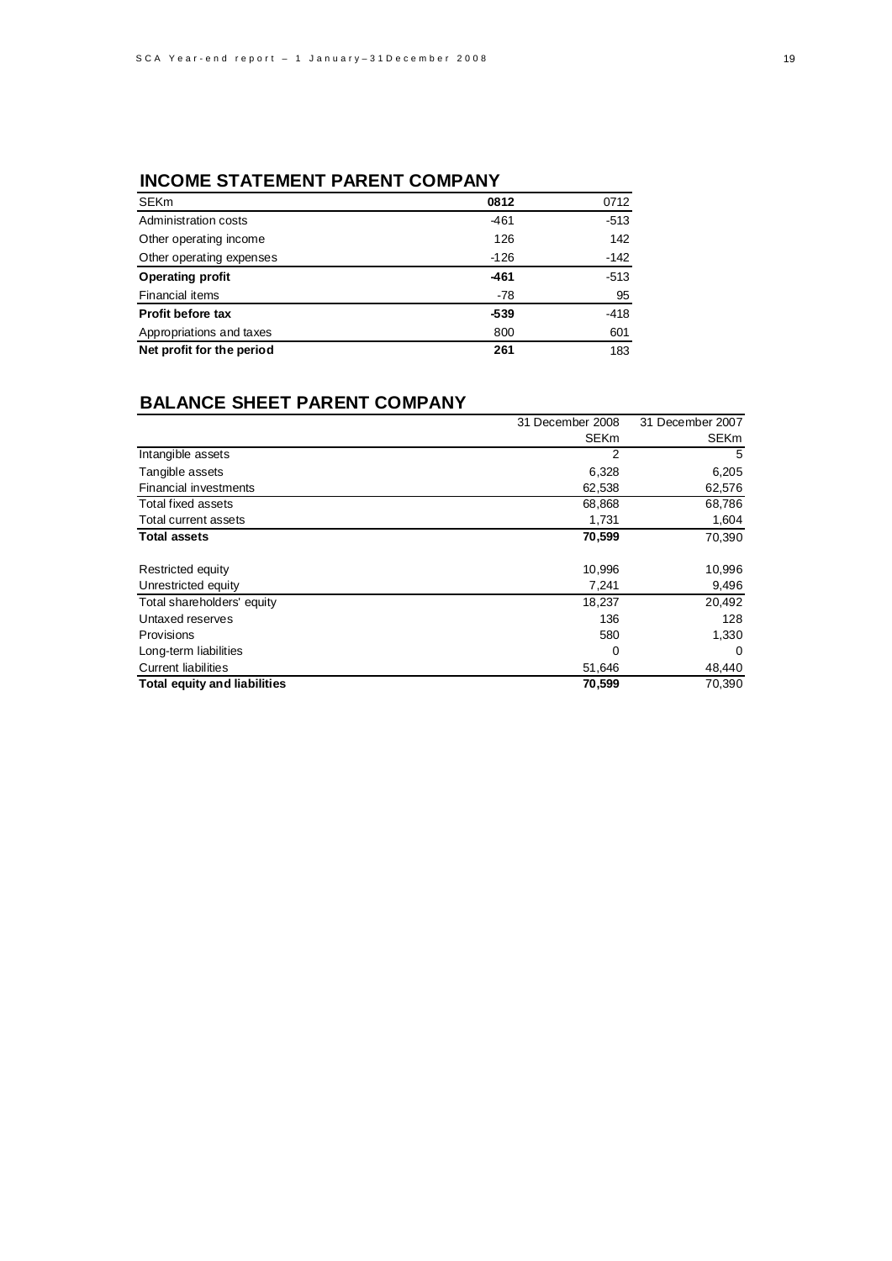# **INCOME STATEMENT PARENT COMPANY**

| <b>SEKm</b>               | 0812   | 0712   |
|---------------------------|--------|--------|
| Administration costs      | $-461$ | $-513$ |
| Other operating income    | 126    | 142    |
| Other operating expenses  | $-126$ | $-142$ |
| <b>Operating profit</b>   | -461   | $-513$ |
| <b>Financial items</b>    | -78    | 95     |
| <b>Profit before tax</b>  | $-539$ | $-418$ |
| Appropriations and taxes  | 800    | 601    |
| Net profit for the period | 261    | 183    |

# **BALANCE SHEET PARENT COMPANY**

|                                     | 31 December 2008 | 31 December 2007 |
|-------------------------------------|------------------|------------------|
|                                     | <b>SEKm</b>      | <b>SEKm</b>      |
| Intangible assets                   | 2                | 5                |
| Tangible assets                     | 6,328            | 6,205            |
| <b>Financial investments</b>        | 62,538           | 62,576           |
| Total fixed assets                  | 68,868           | 68,786           |
| Total current assets                | 1,731            | 1,604            |
| <b>Total assets</b>                 | 70,599           | 70,390           |
| Restricted equity                   | 10,996           | 10,996           |
| Unrestricted equity                 | 7,241            | 9,496            |
| Total shareholders' equity          | 18,237           | 20,492           |
| Untaxed reserves                    | 136              | 128              |
| <b>Provisions</b>                   | 580              | 1,330            |
| Long-term liabilities               | 0                | 0                |
| <b>Current liabilities</b>          | 51,646           | 48,440           |
| <b>Total equity and liabilities</b> | 70,599           | 70,390           |